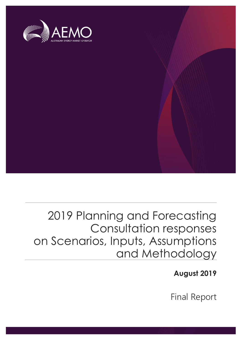

## 2019 Planning and Forecasting Consultation responses on Scenarios, Inputs, Assumptions and Methodology

The material in this publication may be used in accordance with the [copyright permissions on AEMO's website](http://aemo.com.au/Privacy_and_Legal_Notices/Copyright_Permissions_Notice).

**August 2019**

Final Report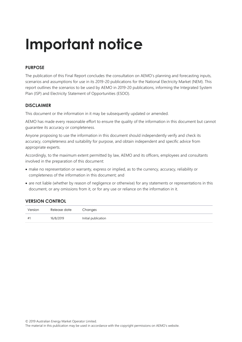# **Important notice**

#### **PURPOSE**

The publication of this Final Report concludes the consultation on AEMO's planning and forecasting inputs, scenarios and assumptions for use in its 2019-20 publications for the National Electricity Market (NEM). This report outlines the scenarios to be used by AEMO in 2019-20 publications, informing the Integrated System Plan (ISP) and Electricity Statement of Opportunities (ESOO).

#### **DISCLAIMER**

This document or the information in it may be subsequently updated or amended.

AEMO has made every reasonable effort to ensure the quality of the information in this document but cannot guarantee its accuracy or completeness.

Anyone proposing to use the information in this document should independently verify and check its accuracy, completeness and suitability for purpose, and obtain independent and specific advice from appropriate experts.

Accordingly, to the maximum extent permitted by law, AEMO and its officers, employees and consultants involved in the preparation of this document:

- make no representation or warranty, express or implied, as to the currency, accuracy, reliability or completeness of the information in this document; and
- are not liable (whether by reason of negligence or otherwise) for any statements or representations in this document, or any omissions from it, or for any use or reliance on the information in it.

#### **VERSION CONTROL**

| Version | Release date | Changes             |
|---------|--------------|---------------------|
| $#^1$   | 16/8/2019    | Initial publication |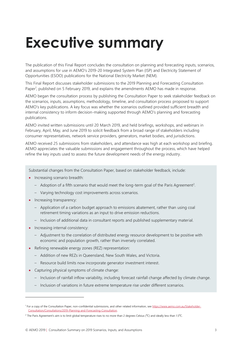## <span id="page-2-0"></span>**Executive summary**

The publication of this Final Report concludes the consultation on planning and forecasting inputs, scenarios, and assumptions for use in AEMO's 2019-20 Integrated System Plan (ISP) and Electricity Statement of Opportunities (ESOO) publications for the National Electricity Market (NEM).

This Final Report discusses stakeholder submissions to the 2019 Planning and Forecasting Consultation Paper<sup>1</sup>, published on 5 February 2019, and explains the amendments AEMO has made in response.

AEMO began the consultation process by publishing the Consultation Paper to seek stakeholder feedback on the scenarios, inputs, assumptions, methodology, timeline, and consultation process proposed to support AEMO's key publications. A key focus was whether the scenarios outlined provided sufficient breadth and internal consistency to inform decision-making supported through AEMO's planning and forecasting publications.

AEMO invited written submissions until 20 March 2019, and held briefings, workshops, and webinars in February, April, May, and June 2019 to solicit feedback from a broad range of stakeholders including consumer representatives, network service providers, generators, market bodies, and jurisdictions.

AEMO received 25 submissions from stakeholders, and attendance was high at each workshop and briefing. AEMO appreciates the valuable submissions and engagement throughout the process, which have helped refine the key inputs used to assess the future development needs of the energy industry.

Substantial changes from the Consultation Paper, based on stakeholder feedback, include:

- Increasing scenario breadth:
	- $-$  Adoption of a fifth scenario that would meet the long-term goal of the Paris Agreement<sup>2</sup>.
	- Varying technology cost improvements across scenarios.
- Increasing transparency:
	- Application of a carbon budget approach to emissions abatement, rather than using coal retirement timing variations as an input to drive emission reductions.
	- Inclusion of additional data in consultant reports and published supplementary material.
- Increasing internal consistency:

- Adjustment to the correlation of distributed energy resource development to be positive with economic and population growth, rather than inversely correlated.
- Refining renewable energy zones (REZ) representation:
	- Addition of new REZs in Queensland, New South Wales, and Victoria.
	- Resource build limits now incorporate generator investment interest.
- Capturing physical symptoms of climate change:
	- Inclusion of rainfall inflow variability, including forecast rainfall change affected by climate change.
	- Inclusion of variations in future extreme temperature rise under different scenarios.

<sup>&</sup>lt;sup>1</sup> For a copy of the Consultation Paper, non-confidential submissions, and other related information, see [https://www.aemo.com.au/Stakeholder-](https://www.aemo.com.au/Stakeholder-Consultation/Consultations/2019-Planning-and-Forecasting-Consultation)[Consultation/Consultations/2019-Planning-and-Forecasting-Consultation.](https://www.aemo.com.au/Stakeholder-Consultation/Consultations/2019-Planning-and-Forecasting-Consultation)

<sup>&</sup>lt;sup>2</sup> The Paris Agreement's aim is to limit global temperature rises to no more than 2 degrees Celsius (<sup>o</sup>C) and ideally less than 1.5<sup>o</sup>C.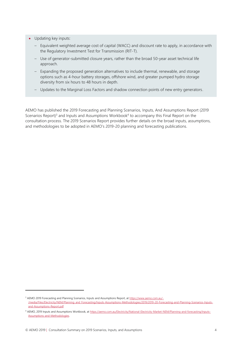- Updating key inputs:
	- Equivalent weighted average cost of capital (WACC) and discount rate to apply, in accordance with the Regulatory Investment Test for Transmission (RIT-T).
	- Use of generator-submitted closure years, rather than the broad 50-year asset technical life approach.
	- Expanding the proposed generation alternatives to include thermal, renewable, and storage options such as 4-hour battery storages, offshore wind, and greater pumped hydro storage diversity from six hours to 48 hours in depth.
	- Updates to the Marginal Loss Factors and shadow connection points of new entry generators.

AEMO has published the 2019 Forecasting and Planning Scenarios, Inputs, And Assumptions Report (2019 Scenarios Report)<sup>3</sup> and Inputs and Assumptions Workbook<sup>4</sup> to accompany this Final Report on the consultation process. The 2019 Scenarios Report provides further details on the broad inputs, assumptions, and methodologies to be adopted in AEMO's 2019-20 planning and forecasting publications.

<sup>&</sup>lt;sup>3</sup> AEMO 2019 Forecasting and Planning Scenarios, Inputs and Assumptions Report, a[t https://www.aemo.com.au/-](https://www.aemo.com.au/-/media/Files/Electricity/NEM/Planning_and_Forecasting/Inputs-Assumptions-Methodologies/2019/2019-20-Forecasting-and-Planning-Scenarios-Inputs-and-Assumptions-Report.pdf) [/media/Files/Electricity/NEM/Planning\\_and\\_Forecasting/Inputs-Assumptions-Methodologies/2019/2019-20-Forecasting-and-Planning-Scenarios-Inputs](https://www.aemo.com.au/-/media/Files/Electricity/NEM/Planning_and_Forecasting/Inputs-Assumptions-Methodologies/2019/2019-20-Forecasting-and-Planning-Scenarios-Inputs-and-Assumptions-Report.pdf)[and-Assumptions-Report.pdf](https://www.aemo.com.au/-/media/Files/Electricity/NEM/Planning_and_Forecasting/Inputs-Assumptions-Methodologies/2019/2019-20-Forecasting-and-Planning-Scenarios-Inputs-and-Assumptions-Report.pdf)

<sup>&</sup>lt;sup>4</sup> AEMO, 2019 Inputs and Assumptions Workbook, a[t https://aemo.com.au/Electricity/National-Electricity-Market-NEM/Planning-and-forecasting/Inputs-](https://aemo.com.au/Electricity/National-Electricity-Market-NEM/Planning-and-forecasting/Inputs-Assumptions-and-Methodologies)[Assumptions-and-Methodologies.](https://aemo.com.au/Electricity/National-Electricity-Market-NEM/Planning-and-forecasting/Inputs-Assumptions-and-Methodologies)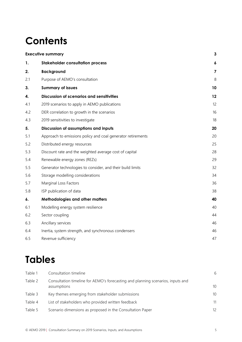## **Contents**

| <b>Executive summary</b> |                                                             | 3                       |
|--------------------------|-------------------------------------------------------------|-------------------------|
| 1.                       | <b>Stakeholder consultation process</b>                     | $\boldsymbol{6}$        |
| 2.                       | <b>Background</b>                                           | $\overline{\mathbf{z}}$ |
| 2.1                      | Purpose of AEMO's consultation                              | 8                       |
| 3.                       | <b>Summary of issues</b>                                    | 10                      |
| 4.                       | <b>Discussion of scenarios and sensitivities</b>            | 12                      |
| 4.1                      | 2019 scenarios to apply in AEMO publications                | 12                      |
| 4.2                      | DER correlation to growth in the scenarios                  | 16                      |
| 4.3                      | 2019 sensitivities to investigate                           | 18                      |
| 5.                       | Discussion of assumptions and inputs                        | 20                      |
| 5.1                      | Approach to emissions policy and coal generator retirements | 20                      |
| 5.2                      | Distributed energy resources                                | 25                      |
| 5.3                      | Discount rate and the weighted average cost of capital      | 28                      |
| 5.4                      | Renewable energy zones (REZs)                               | 29                      |
| 5.5                      | Generator technologies to consider, and their build limits  | 32                      |
| 5.6                      | Storage modelling considerations                            | 34                      |
| 5.7                      | Marginal Loss Factors                                       | 36                      |
| 5.8                      | ISP publication of data                                     | 38                      |
| 6.                       | Methodologies and other matters                             | 40                      |
| 6.1                      | Modelling energy system resilience                          | 40                      |
| 6.2                      | Sector coupling                                             | 44                      |
| 6.3                      | Ancillary services                                          | 46                      |
| 6.4                      | Inertia, system strength, and synchronous condensers        | 46                      |
| 6.5                      | Revenue sufficiency                                         | 47                      |

## **Tables**

| Table 1 | Consultation timeline                                                                          | 6  |
|---------|------------------------------------------------------------------------------------------------|----|
| Table 2 | Consultation timeline for AEMO's forecasting and planning scenarios, inputs and<br>assumptions | 10 |
| Table 3 | Key themes emerging from stakeholder submissions                                               | 10 |
| Table 4 | List of stakeholders who provided written feedback                                             | 11 |
| Table 5 | Scenario dimensions as proposed in the Consultation Paper                                      | 12 |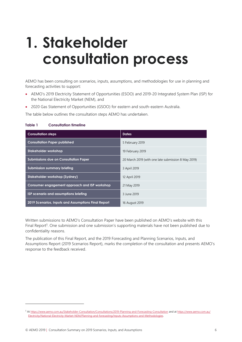## <span id="page-5-0"></span>**1. Stakeholder consultation process**

AEMO has been consulting on scenarios, inputs, assumptions, and methodologies for use in planning and forecasting activities to support:

- AEMO's 2019 Electricity Statement of Opportunities (ESOO) and 2019-20 Integrated System Plan (ISP) for the National Electricity Market (NEM), and
- 2020 Gas Statement of Opportunities (GSOO) for eastern and south-eastern Australia.

The table below outlines the consultation steps AEMO has undertaken.

#### <span id="page-5-1"></span>**Table 1 Consultation timeline**

| <b>Consultation steps</b>                           | <b>Dates</b>                                        |  |
|-----------------------------------------------------|-----------------------------------------------------|--|
| <b>Consultation Paper published</b>                 | 5 February 2019                                     |  |
| Stakeholder workshop                                | 19 February 2019                                    |  |
| <b>Submissions due on Consultation Paper</b>        | 20 March 2019 (with one late submission 8 May 2019) |  |
| Submission summary briefing                         | 3 April 2019                                        |  |
| Stakeholder workshop (Sydney)                       | 12 April 2019                                       |  |
| Consumer engagement approach and ISP workshop       | 21 May 2019                                         |  |
| ISP scenario and assumptions briefing               | 3 June 2019                                         |  |
| 2019 Scenarios, Inputs and Assumptions Final Report | 16 August 2019                                      |  |

Written submissions to AEMO's Consultation Paper have been published on AEMO's website with this Final Report<sup>5</sup>. One submission and one submission's supporting materials have not been published due to confidentiality reasons.

The publication of this Final Report, and the 2019 Forecasting and Planning Scenarios, Inputs, and Assumptions Report (2019 Scenarios Report), marks the completion of the consultation and presents AEMO's response to the feedback received.

<sup>5</sup> A[t https://www.aemo.com.au/Stakeholder-Consultation/Consultations/2019-Planning-and-Forecasting-Consultation](https://www.aemo.com.au/Stakeholder-Consultation/Consultations/2019-Planning-and-Forecasting-Consultation) and a[t https://www.aemo.com.au/](https://www.aemo.com.au/Electricity/National-Electricity-Market-NEM/Planning-and-forecasting/Inputs-Assumptions-and-Methodologies) [Electricity/National-Electricity-Market-NEM/Planning-and-forecasting/Inputs-Assumptions-and-Methodologies.](https://www.aemo.com.au/Electricity/National-Electricity-Market-NEM/Planning-and-forecasting/Inputs-Assumptions-and-Methodologies)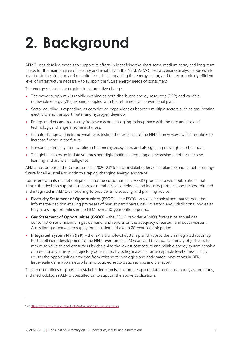# <span id="page-6-0"></span>**2. Background**

AEMO uses detailed models to support its efforts in identifying the short-term, medium-term, and long-term needs for the maintenance of security and reliability in the NEM. AEMO uses a scenario analysis approach to investigate the direction and magnitude of shifts impacting the energy sector, and the economically efficient level of infrastructure necessary to support the future energy needs of consumers.

The energy sector is undergoing transformative change:

- The power supply mix is rapidly evolving as both distributed energy resources (DER) and variable renewable energy (VRE) expand, coupled with the retirement of conventional plant.
- Sector coupling is expanding, as complex co-dependencies between multiple sectors such as gas, heating, electricity and transport, water and hydrogen develop.
- Energy markets and regulatory frameworks are struggling to keep pace with the rate and scale of technological change in some instances.
- Climate change and extreme weather is testing the resilience of the NEM in new ways, which are likely to increase further in the future.
- Consumers are playing new roles in the energy ecosystem, and also gaining new rights to their data.
- The global explosion in data volumes and digitalisation is requiring an increasing need for machine learning and artificial intelligence.

AEMO has prepared the Corporate Plan 2020-23<sup>6</sup> to inform stakeholders of its plan to shape a better energy future for all Australians within this rapidly changing energy landscape.

Consistent with its market obligations and the corporate plan, AEMO produces several publications that inform the decision support function for members, stakeholders, and industry partners, and are coordinated and integrated in AEMO's modelling to provide its forecasting and planning advice:

- **Electricity Statement of Opportunities (ESOO)** the ESOO provides technical and market data that informs the decision-making processes of market participants, new investors, and jurisdictional bodies as they assess opportunities in the NEM over a 10-year outlook period.
- **Gas Statement of Opportunities (GSOO)** the GSOO provides AEMO's forecast of annual gas consumption and maximum gas demand, and reports on the adequacy of eastern and south-eastern Australian gas markets to supply forecast demand over a 20-year outlook period.
- **Integrated System Plan (ISP)** the ISP is a whole-of-system plan that provides an integrated roadmap for the efficient development of the NEM over the next 20 years and beyond. Its primary objective is to maximise value to end consumers by designing the lowest cost secure and reliable energy system capable of meeting any emissions trajectory determined by policy makers at an acceptable level of risk. It fully utilises the opportunities provided from existing technologies and anticipated innovations in DER, large-scale generation, networks, and coupled sectors such as gas and transport.

This report outlines responses to stakeholder submissions on the appropriate scenarios, inputs, assumptions, and methodologies AEMO consulted on to support the above publications.

<sup>&</sup>lt;sup>6</sup> At https://www.aemo.com.au/About-AEMO/Our-vision-mission-and-values.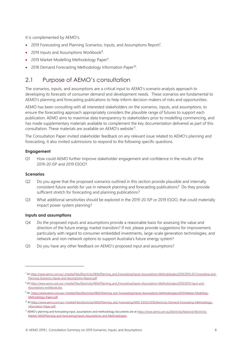It is complemented by AEMO's:

- 2019 Forecasting and Planning Scenarios, Inputs, and Assumptions Report<sup>7</sup>.
- 2019 Inputs and Assumptions Workbook<sup>8</sup>.
- 2019 Market Modelling Methodology Paper<sup>9</sup>.
- 2018 Demand Forecasting Methodology Information Paper<sup>10</sup>.

## <span id="page-7-0"></span>2.1 Purpose of AEMO's consultation

The scenarios, inputs, and assumptions are a critical input to AEMO's scenario analysis approach to developing its forecasts of consumer demand and development needs. These scenarios are fundamental to AEMO's planning and forecasting publications to help inform decision-makers of risks and opportunities.

AEMO has been consulting with all interested stakeholders on the scenarios, inputs, and assumptions, to ensure the forecasting approach appropriately considers the plausible range of futures to support each publication. AEMO aims to maximise data transparency to stakeholders prior to modelling commencing, and has made supplementary materials available to complement the key documentation delivered as part of this consultation. These materials are available on AEMO's website<sup>11</sup>.

The Consultation Paper invited stakeholder feedback on any relevant issue related to AEMO's planning and forecasting. It also invited submissions to respond to the following specific questions.

#### **Engagement**

Q1 How could AEMO further improve stakeholder engagement and confidence in the results of the 2019-20 ISP and 2019 ESOO?

#### **Scenarios**

- Q2 Do you agree that the proposed scenarios outlined in this section provide plausible and internally consistent future worlds for use in network planning and forecasting publications? Do they provide sufficient stretch for forecasting and planning publications?
- Q3 What additional sensitivities should be explored in the 2019-20 ISP or 2019 ESOO, that could materially impact power system planning?

#### **Inputs and assumptions**

- Q4 Do the proposed inputs and assumptions provide a reasonable basis for assessing the value and direction of the future energy market transition? If not, please provide suggestions for improvement, particularly with regard to consumer embedded investments, large-scale generation technologies, and network and non-network options to support Australia's future energy system?
- Q5 Do you have any other feedback on AEMO's proposed input and assumptions?

<sup>7</sup> At [https://www.aemo.com.au/-/media/Files/Electricity/NEM/Planning\\_and\\_Forecasting/Inputs-Assumptions-Methodologies/2019/2019-20-Forecasting-and-](https://www.aemo.com.au/-/media/Files/Electricity/NEM/Planning_and_Forecasting/Inputs-Assumptions-Methodologies/2019/2019-20-Forecasting-and-Planning-Scenarios-Inputs-and-Assumptions-Report.pdf)[Planning-Scenarios-Inputs-and-Assumptions-Report.pdf.](https://www.aemo.com.au/-/media/Files/Electricity/NEM/Planning_and_Forecasting/Inputs-Assumptions-Methodologies/2019/2019-20-Forecasting-and-Planning-Scenarios-Inputs-and-Assumptions-Report.pdf) 

<sup>8</sup> A[t https://www.aemo.com.au/-/media/Files/Electricity/NEM/Planning\\_and\\_Forecasting/Inputs-Assumptions-Methodologies/2019/2019-Input-and-](https://www.aemo.com.au/-/media/Files/Electricity/NEM/Planning_and_Forecasting/Inputs-Assumptions-Methodologies/2019/2019-Input-and-Assumptions-workbook.xlsx)[Assumptions-workbook.xlsx.](https://www.aemo.com.au/-/media/Files/Electricity/NEM/Planning_and_Forecasting/Inputs-Assumptions-Methodologies/2019/2019-Input-and-Assumptions-workbook.xlsx) 

<sup>9</sup> A[t https://www.aemo.com.au/-/media/Files/Electricity/NEM/Planning\\_and\\_Forecasting/Inputs-Assumptions-Methodologies/2019/Market-Modelling-](https://www.aemo.com.au/-/media/Files/Electricity/NEM/Planning_and_Forecasting/Inputs-Assumptions-Methodologies/2019/Market-Modelling-Methodology-Paper.pdf)[Methodology-Paper.pdf.](https://www.aemo.com.au/-/media/Files/Electricity/NEM/Planning_and_Forecasting/Inputs-Assumptions-Methodologies/2019/Market-Modelling-Methodology-Paper.pdf) 

<sup>&</sup>lt;sup>10</sup> A[t https://www.aemo.com.au/-/media/Files/Electricity/NEM/Planning\\_and\\_Forecasting/NEM\\_ESOO/2018/Electricity-Demand-Forecasting-Methodology-](https://www.aemo.com.au/-/media/Files/Electricity/NEM/Planning_and_Forecasting/NEM_ESOO/2018/Electricity-Demand-Forecasting-Methodology-Information-Paper.pdf)[Information-Paper.pdf.](https://www.aemo.com.au/-/media/Files/Electricity/NEM/Planning_and_Forecasting/NEM_ESOO/2018/Electricity-Demand-Forecasting-Methodology-Information-Paper.pdf) 

<sup>&</sup>lt;sup>11</sup> AEMO's planning and forecasting input, assumptions and methodology documents are a[t https://www.aemo.com.au/Electricity/National-Electricity-](https://www.aemo.com.au/Electricity/National-Electricity-Market-NEM/Planning-and-forecasting/Inputs-Assumptions-and-Methodologies)[Market-NEM/Planning-and-forecasting/Inputs-Assumptions-and-Methodologies.](https://www.aemo.com.au/Electricity/National-Electricity-Market-NEM/Planning-and-forecasting/Inputs-Assumptions-and-Methodologies)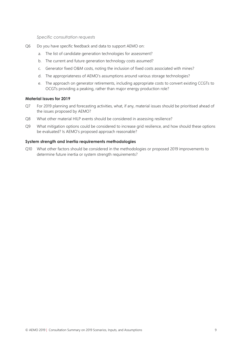*Specific consultation requests*

- Q6 Do you have specific feedback and data to support AEMO on:
	- a. The list of candidate generation technologies for assessment?
	- b. The current and future generation technology costs assumed?
	- c. Generator fixed O&M costs, noting the inclusion of fixed costs associated with mines?
	- d. The appropriateness of AEMO's assumptions around various storage technologies?
	- e. The approach on generator retirements, including appropriate costs to convert existing CCGTs to OCGTs providing a peaking, rather than major energy production role?

#### **Material issues for 2019**

- Q7 For 2019 planning and forecasting activities, what, if any, material issues should be prioritised ahead of the issues proposed by AEMO?
- Q8 What other material HILP events should be considered in assessing resilience?
- Q9 What mitigation options could be considered to increase grid resilience, and how should these options be evaluated? Is AEMO's proposed approach reasonable?

#### **System strength and inertia requirements methodologies**

Q10 What other factors should be considered in the methodologies or proposed 2019 improvements to determine future inertia or system strength requirements?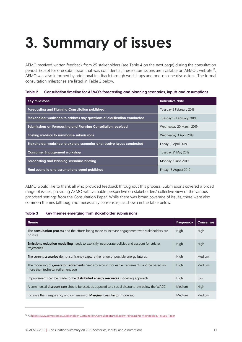# <span id="page-9-0"></span>**3. Summary of issues**

AEMO received written feedback from 25 stakeholders (see [Table 4](#page-10-0) on the next page) during the consultation period. Except for one submission that was confidential, these submissions are available on AEMO's website<sup>12</sup>. AEMO was also informed by additional feedback through workshops and one-on-one discussions. The formal consultation milestones are listed in [Table 2](#page-9-1) below.

#### <span id="page-9-1"></span>**Table 2 Consultation timeline for AEMO's forecasting and planning scenarios, inputs and assumptions**

| Key milestone                                                            | Indicative date          |
|--------------------------------------------------------------------------|--------------------------|
| <b>Forecasting and Planning Consultation published</b>                   | Tuesday 5 February 2019  |
| Stakeholder workshop to address any questions of clarification conducted | Tuesday 19 February 2019 |
| Submissions on Forecasting and Planning Consultation received            | Wednesday 20 March 2019  |
| Briefing webinar to summarise submissions                                | Wednesday 3 April 2019   |
| Stakeholder workshop to explore scenarios and resolve issues conducted   | Friday 12 April 2019     |
| <b>Consumer Engagement workshop</b>                                      | Tuesday 21 May 2019      |
| Forecasting and Planning scenarios briefing                              | Monday 3 June 2019       |
| Final scenario and assumptions report published                          | Friday 16 August 2019    |

AEMO would like to thank all who provided feedback throughout this process. Submissions covered a broad range of issues, providing AEMO with valuable perspective on stakeholders' collective view of the various proposed settings from the Consultation Paper. While there was broad coverage of issues, there were also common themes (although not necessarily consensus), as shown in the table below.

#### <span id="page-9-2"></span>**Table 3 Key themes emerging from stakeholder submissions**

| <b>Theme</b>                                                                                                                                  | Frequency     | <b>Consensus</b> |
|-----------------------------------------------------------------------------------------------------------------------------------------------|---------------|------------------|
| The <b>consultation process</b> and the efforts being made to increase engagement with stakeholders are<br>positive                           | <b>High</b>   | High             |
| <b>Emissions reduction modelling</b> needs to explicitly incorporate policies and account for stricter<br>trajectories                        | High          | <b>High</b>      |
| The current <b>scenarios</b> do not sufficiently capture the range of possible energy futures                                                 | High          | Medium           |
| The modelling of <b>generator retirements</b> needs to account for earlier retirements, and be based on<br>more than technical retirement age | High          | Medium           |
| Improvements can be made to the <b>distributed energy resources</b> modelling approach                                                        | <b>High</b>   | Low              |
| A commercial <b>discount rate</b> should be used, as opposed to a social discount rate below the WACC                                         | <b>Medium</b> | <b>High</b>      |
| Increase the transparency and dynamism of <b>Marginal Loss Factor</b> modelling                                                               | Medium        | Medium           |

<sup>12</sup> A[t https://www.aemo.com.au/Stakeholder-Consultation/Consultations/Reliability-Forecasting-Methodology-Issues-Paper](https://www.aemo.com.au/Stakeholder-Consultation/Consultations/Reliability-Forecasting-Methodology-Issues-Paper)

 $\overline{a}$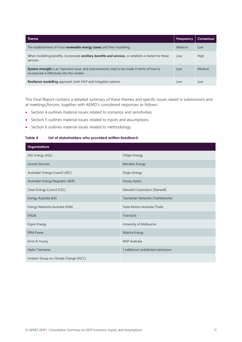| Theme                                                                                                                                    | <b>Frequency</b> | <b>Consensus</b> |
|------------------------------------------------------------------------------------------------------------------------------------------|------------------|------------------|
| The establishment of more <b>renewable energy zones</b> and their modelling                                                              | Medium           | Low              |
| When modelling benefits, incorporate ancillary benefits and services, or establish a market for these<br>services                        | Low              | High             |
| System strength is an important issue, and improvements need to be made in terms of how to<br>incorporate it effectively into the models | Low              | Medium           |
| Resilience modelling approach: both HILP and mitigation options                                                                          | Low              | Low              |

This Final Report contains a detailed summary of these themes and specific issues raised in submissions and at meetings/forums, together with AEMO's considered responses as follows:

- Section 4 outlines material issues related to scenarios and sensitivities
- Section 5 outlines material issues related to inputs and assumptions
- Section 6 outlines material issues related to methodology.

#### <span id="page-10-0"></span>**Table 4 List of stakeholders who provided written feedback**

| <b>Organisations</b>                    |                                      |  |
|-----------------------------------------|--------------------------------------|--|
| AGL Energy (AGL)                        | Infigen Energy                       |  |
| <b>Ausnet Services</b>                  | Meridian Energy                      |  |
| Australian Energy Council (AEC)         | Origin Energy                        |  |
| Australian Energy Regulator (AER)       | Snowy Hydro                          |  |
| Clean Energy Council (CEC)              | Stanwell Corporation (Stanwell)      |  |
| Energy Australia (EA)                   | Tasmanian Networks (TasNetworks)     |  |
| Energy Networks Australia (ENA)         | Tesla Motors Australia (Tesla)       |  |
| <b>ENGIE</b>                            | TransGrid                            |  |
| Ergon Energy                            | University of Melbourne              |  |
| <b>ERM Power</b>                        | Walcha Energy                        |  |
| Ernst & Young                           | <b>WSP Australia</b>                 |  |
| Hydro Tasmania                          | 1 additional confidential submission |  |
| Investor Group on Climate Change (IGCC) |                                      |  |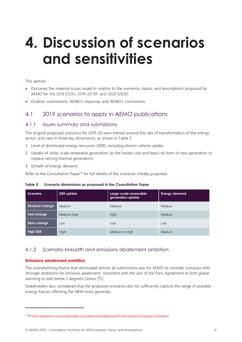## <span id="page-11-0"></span>**4. Discussion of scenarios and sensitivities**

#### This section:

- Discusses the material issues raised in relation to the scenarios, inputs, and assumptions proposed by AEMO for the 2019 ESOO, 2019-20 ISP, and 2020 GSOO.
- <span id="page-11-1"></span>• Outlines submissions, AEMO's response, and AEMO's conclusions.

## 4.1 2019 scenarios to apply in AEMO publications

#### 4.1.1 Issues summary and submissions

The original proposed scenarios for 2019-20 were framed around the rate of transformation of the energy sector, and vary in three key dimensions, as shown in [Table 5:](#page-11-2)

- 1. Level of distributed energy resources (DER), including electric vehicle uptake.
- 2. Uptake of utility-scale renewable generation (as the lowest cost and least risk form of new generation to replace retiring thermal generators).
- 3. Growth of energy demand.

Refer to the Consultation Paper<sup>13</sup> for full details of the scenarios initially proposed.

<span id="page-11-2"></span>**Table 5 Scenario dimensions as proposed in the Consultation Paper**

| Scenario              | <b>DER</b> uptake | Large-scale renewable<br>generation uptake | <b>Energy demand</b> |
|-----------------------|-------------------|--------------------------------------------|----------------------|
| <b>Gradual change</b> | Medium            | <b>Medium</b>                              | Medium               |
| <b>Fast change</b>    | Medium-high       | High                                       | <b>Medium</b>        |
| Slow change           | Low               | Low                                        | Low                  |
| <b>High DER</b>       | High              | Medium or High                             | <b>Medium</b>        |

#### 4.1.2 Scenario breadth and emissions abatement ambition

#### **Emissions abatement ambition**

 $\overline{a}$ 

The overwhelming theme that dominated almost all submissions was for AEMO to consider scenarios with stronger ambitions for emission abatement, consistent with the aim of the Paris Agreement to limit global warming to well below 2 degrees Celsius  $(^{0}C)$ .

Stakeholders also considered that the proposed scenarios did not sufficiently capture the range of possible energy futures affecting the NEM more generally.

<sup>13</sup> A[t https://www.aemo.com.au/Stakeholder-Consultation/Consultations/2019-Planning-and-Forecasting-Consultation.](https://www.aemo.com.au/Stakeholder-Consultation/Consultations/2019-Planning-and-Forecasting-Consultation)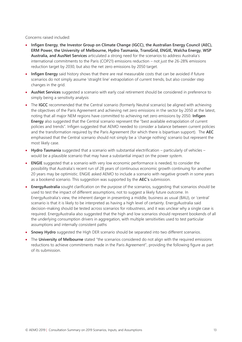Concerns raised included:

- **Infigen Energy**, **the Investor Group on Climate Change (IGCC), the Australian Energy Council (AEC), ERM Power, the University of Melbourne, Hydro Tasmania, TransGrid, ENGIE, Walcha Energy**, **WSP Australia, and AusNet Services** articulated a strong need for the scenarios to address Australia's international commitments to the Paris (COP21) emissions reduction – not just the 26-28% emissions reduction target by 2030, but also the net zero emissions by 2050 target.
- **Infigen Energy** said history shows that there are real measurable costs that can be avoided if future scenarios do not simply assume 'straight line' extrapolation of current trends, but also consider step changes in the grid.
- **AusNet Services** suggested a scenario with early coal retirement should be considered in preference to simply being a sensitivity analysis
- The **IGCC** recommended that the Central scenario (formerly Neutral scenario) be aligned with achieving the objectives of the Paris Agreement and achieving net zero emissions in the sector by 2050 at the latest, noting that all major NEM regions have committed to achieving net zero emissions by 2050. **Infigen Energy** also suggested that the Central scenario represent the "best available extrapolation of current policies and trends". Infigen suggested that AEMO needed to consider a balance between current policies and the transformation required by the Paris Agreement (for which there is bipartisan support). The **AEC** emphasised that the Central scenario should not simply be a 'change nothing' scenario but represent the most likely case.
- **Hydro Tasmania** suggested that a scenario with substantial electrification particularly of vehicles would be a plausible scenario that may have a substantial impact on the power system.
- **ENGIE** suggested that a scenario with very low economic performance is needed, to consider the possibility that Australia's recent run of 28 years of continuous economic growth continuing for another 20 years may be optimistic. ENGIE asked AEMO to include a scenario with negative growth in some years as a bookend scenario. This suggestion was supported by the **AEC's** submission.
- **EnergyAustralia** sought clarification on the purpose of the scenarios, suggesting that scenarios should be used to test the impact of different assumptions, not to suggest a likely future outcome. In EnergyAustralia's view, the inherent danger in presenting a middle, business as usual (BAU), or 'central' scenario is that it is likely to be interpreted as having a high level of certainty. EnergyAustralia said decision-making should be tested across scenarios for robustness, and it was unclear why a single case is required. EnergyAustralia also suggested that the high and low scenarios should represent bookends of all the underlying consumption drivers in aggregation, with multiple sensitivities used to test particular assumptions and internally consistent paths
- **Snowy Hydro** suggested the High DER scenario should be separated into two different scenarios.
- The **University of Melbourne** stated "the scenarios considered do not align with the required emissions reductions to achieve commitments made in the Paris Agreement", providing the following figure as part of its submission.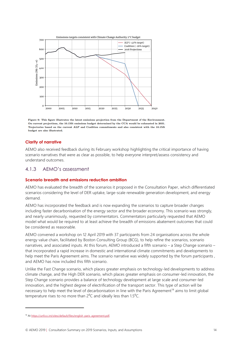

Figure 9: This figure illustrates the latest emissions projection from the Department of the Environment. On current projections, the 10.1Mt emissions budget determined by the CCA would be exhausted in 2031. Trajectories based on the current ALP and Coalition commitments and also consistent with the 10.1Mt budget are also illustrated.

#### **Clarity of narrative**

AEMO also received feedback during its February workshop highlighting the critical importance of having scenario narratives that were as clear as possible, to help everyone interpret/assess consistency and understand outcomes.

#### 4.1.3 AEMO's assessment

#### **Scenario breadth and emissions reduction ambition**

AEMO has evaluated the breadth of the scenarios it proposed in the Consultation Paper, which differentiated scenarios considering the level of DER uptake, large-scale renewable generation development, and energy demand.

AEMO has incorporated the feedback and is now expanding the scenarios to capture broader changes including faster decarbonisation of the energy sector and the broader economy. This scenario was strongly, and nearly unanimously, requested by commentators. Commentators particularly requested that AEMO model what would be required to at least achieve the breadth of emissions abatement outcomes that could be considered as reasonable.

AEMO convened a workshop on 12 April 2019 with 37 participants from 24 organisations across the whole energy value chain, facilitated by Boston Consulting Group (BCG), to help refine the scenarios, scenario narratives, and associated inputs. At this forum, AEMO introduced a fifth scenario – a Step Change scenario – that incorporated a rapid increase in domestic and international climate commitments and developments to help meet the Paris Agreement aims. The scenario narrative was widely supported by the forum participants , and AEMO has now included this fifth scenario.

Unlike the Fast Change scenario, which places greater emphasis on technology-led developments to address climate change, and the High DER scenario, which places greater emphasis on consumer-led innovation, the Step Change scenario provides a balance of technology development at large scale and consumer-led innovation, and the highest degree of electrification of the transport sector. This type of action will be necessary to help meet the level of decarbonisation in line with the Paris Agreement<sup>14</sup> aims to limit global temperature rises to no more than  $2^{\circ}$ C and ideally less than 1.5 $^{\circ}$ C.

 $\overline{a}$ 

<sup>14</sup> A[t https://unfccc.int/sites/default/files/english\\_paris\\_agreement.pdf](https://unfccc.int/sites/default/files/english_paris_agreement.pdf)*.*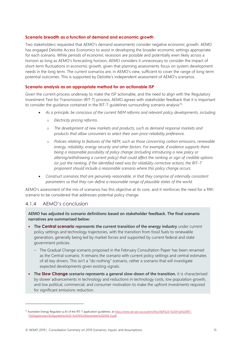#### **Scenario breadth as a function of demand and economic growth**

Two stakeholders requested that AEMO's demand assessments consider negative economic growth. AEMO has engaged Deloitte Access Economics to assist in developing the broader economic settings appropriate for each scenario. While periods of economic recession are possible and potentially even likely across a horizon as long as AEMO's forecasting horizon, AEMO considers it unnecessary to consider the impact of short-term fluctuations in economic growth, given that planning assessments focus on system development needs in the long term. The current scenarios are, in AEMO's view, sufficient to cover the range of long-term potential outcomes. This is supported by Deloitte's independent assessment of AEMO's scenarios.

#### **Scenario analysis as an appropriate method for an actionable ISP**

Given the current process underway to make the ISP actionable, and the need to align with the Regulatory Investment Test for Transmission (RIT-T) process, AEMO agrees with stakeholder feedback that it is important to consider the quidance contained in the RIT-T quidelines surrounding scenario analysis<sup>15</sup>:

- *As a principle, be conscious of the current NEM reforms and relevant policy developments, including:* 
	- o *Electricity pricing reforms.*
	- o *The development of new markets and products, such as demand response markets and products that allow consumers to select their own price-reliability preference.*
	- o *Policies relating to features of the NEM, such as those concerning carbon emissions, renewable energy, reliability, energy security and other factors. For example, if evidence supports there being a reasonable possibility of policy change (including introducing a new policy or altering/withdrawing a current policy) that could affect the ranking or sign of credible options (or just the ranking, if the identified need was for reliability corrective action), the RIT–T proponent should include a reasonable scenario where this policy change occurs.*
- *Construct scenarios that are genuinely reasonable, in that they comprise of internally consistent parameters so that they can define a reasonable range of plausible states of the world.*

AEMO's assessment of the mix of scenarios has this objective at its core, and it reinforces the need for a fifth scenario to be considered that addresses potential policy change.

### 4.1.4 AEMO's conclusion

**AEMO has adjusted its scenario definitions based on stakeholder feedback. The final scenario narratives are summarised below:**

- **The Central scenario represents the current transition of the energy industry** under current policy settings and technology trajectories, with the transition from fossil fuels to renewable generation, generally being led by market forces and supported by current federal and state government policies.
	- The Gradual Change scenario proposed in the February Consultation Paper has been renamed as the Central scenario. It remains the scenario with current policy settings and central estimates of all key drivers. This isn't a "do nothing" scenario, rather a scenario that will investigate expected developments given existing signals.
- **The Slow Change scenario represents a general slow-down of the transition.** It is characterised by slower advancements in technology and reductions in technology costs, low population growth, and low political, commercial, and consumer motivation to make the upfront investments required for significant emissions reduction.

<sup>&</sup>lt;sup>15</sup> Australian Energy Regulator p.43 of the RIT-T application guidelines, at <u>https://www.aer.gov.au/system/files/AER%20-%20Final%20RIT-</u> [T%20application%20guidelines%20-%2014%20December%202018\\_0.pdf](https://www.aer.gov.au/system/files/AER%20-%20Final%20RIT-T%20application%20guidelines%20-%2014%20December%202018_0.pdf)*.*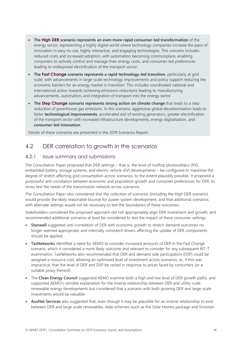- **The High DER scenario represents an even more rapid consumer-led transformation** of the energy sector, representing a highly digital world where technology companies increase the pace of innovation in easy-to-use, highly interactive, and engaging technologies. This scenario includes reduced costs and increased adoption, with automation becoming commonplace, enabling consumers to actively control and manage their energy costs, and consumer-led preferences leading to widespread electrification of the transport sector.
- **The Fast Change scenario represents a rapid technology-led transition**, particularly at grid scale, with advancements in large-scale technology improvements and policy support reducing the economic barriers for an energy market in transition. This includes coordinated national and international action towards achieving emissions reductions leading to manufacturing advancements, automation, and integration of transport into the energy sector.
- **The Step Change scenario represents strong action on climate change** that leads to a step reduction of greenhouse gas emissions. In this scenario, aggressive global decarbonisation leads to faster **technological improvements**, accelerated exit of existing generators, greater electrification of the transport sector with increased infrastructure developments, energy digitalisation, and **consumer-led innovation**.

Details of these scenarios are presented in the 2019 Scenarios Report.

## <span id="page-15-0"></span>4.2 DER correlation to growth in the scenarios

#### 4.2.1 Issue summary and submissions

The Consultation Paper proposed that DER settings – that is, the level of rooftop photovoltaics (PV), embedded battery storage systems, and electric vehicle (EV) developments – be configured to maximise the degree of stretch affecting grid consumption across scenarios, to the extent plausibly possible. It proposed a purposeful anti-correlation between economic and population growth and consumer preferences for DER, to stress test the needs of the transmission network across scenarios.

The Consultation Paper also considered that the collection of scenarios (including the High DER scenario) would provide the likely reasonable bounds for power system development, and that additional scenarios with alternate settings would not be necessary to test the boundaries of these outcomes.

Stakeholders considered the proposed approach did not appropriately align DER investment and growth, and recommended additional scenarios at least be considered to test the impact of these consumer settings:

- **Stanwell** suggested anti-correlation of DER with economic growth to stretch demand outcomes no longer seemed appropriate, and internally consistent drivers affecting the uptake of DER components should be applied.
- **TasNetworks** identified a need for AEMO to consider increased amounts of DER in the Fast Change scenario, which it considered a more likely outcome and relevant to consider for any subsequent RIT-T examination. TasNetworks also recommended that DER and demand side participation (DSP) could be assigned a resource cost, allowing an optimised level of investment across scenarios, or, if this was impractical, that the level of DER and DSP be varied in response to prices faced by consumers (or a suitable proxy thereof).
- The **Clean Energy Council** suggested AEMO examine both a high and low level of DER growth paths, and supported AEMO's sensible explanation for the inverse relationship between DER and utility-scale renewable energy developments but considered that a scenario with both growing DER and large-scale investments would be valuable.
- **AusNet Services** also suggested that, even though it may be plausible for an inverse relationship to exist between DER and large-scale renewables, state schemes (such as the Solar Homes package and Victorian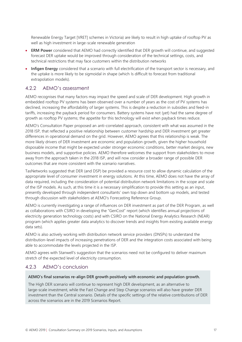Renewable Energy Target [VRET] schemes in Victoria) are likely to result in high uptake of rooftop PV as well as high investment in large-scale renewable generation

- **ERM Power** considered that AEMO had correctly identified that DER growth will continue, and suggested forecast DER uptake would be improved through consideration of the technical settings, costs, and technical restrictions that may face customers within the distribution networks
- **Infigen Energy** considered that a scenario with full electrification of the transport sector is necessary, and the uptake is more likely to be sigmoidal in shape (which Is difficult to forecast from traditional extrapolation models).

### 4.2.2 AEMO's assessment

AEMO recognises that many factors may impact the speed and scale of DER development. High growth in embedded rooftop PV systems has been observed over a number of years as the cost of PV systems has declined, increasing the affordability of larger systems. This is despite a reduction in subsidies and feed-in tariffs, increasing the payback period for consumers. Battery systems have not (yet) had the same degree of growth as rooftop PV systems; the appetite for this technology will exist when payback times reduce.

AEMO's Consultation Paper proposed an anti-correlated approach, consistent with what was assumed in the 2018 ISP, that reflected a positive relationship between customer hardship and DER investment get greater differences in operational demand on the grid. However, AEMO agrees that this relationship is weak. The more likely drivers of DER investment are economic and population growth, given the higher household disposable income that might be expected under stronger economic conditions, better market designs, new business models, and supportive policies. AEMO therefore welcomes the support from stakeholders to move away from the approach taken in the 2018 ISP, and will now consider a broader range of possible DER outcomes that are more consistent with the scenario narratives.

TasNetworks suggested that DER (and DSP) be provided a resource cost to allow dynamic calculation of the appropriate level of consumer investment in energy solutions. At this time, AEMO does not have the array of data required, including the consideration of potential distribution network limitations in the scope and scale of the ISP models. As such, at this time it is a necessary simplification to provide this setting as an input, presently developed through independent consultants' own top down and bottom up models, and tested through discussion with stakeholders at AEMO's Forecasting Reference Group.

AEMO is currently investigating a range of influences on DER investment as part of the DER Program, as well as collaborations with CSIRO in developing the "GenCost" report (which identifies annual projections of electricity generation technology costs) and with CSIRO on the National Energy Analytics Research (NEAR) program (which applies greater data analytics to discover trends and insights from existing available energy data sets).

AEMO is also actively working with distribution network service providers (DNSPs) to understand the distribution-level impacts of increasing penetrations of DER and the integration costs associated with being able to accommodate the levels projected in the ISP.

AEMO agrees with Stanwell's suggestion that the scenarios need not be configured to deliver maximum stretch of the expected level of electricity consumption.

#### 4.2.3 AEMO's conclusion

#### **AEMO's final scenarios re-align DER growth positively with economic and population growth.**

The High DER scenario will continue to represent high DER development, as an alternative to large-scale investment, while the Fast Change and Step Change scenarios will also have greater DER investment than the Central scenario. Details of the specific settings of the relative contributions of DER across the scenarios are in the 2019 Scenarios Report.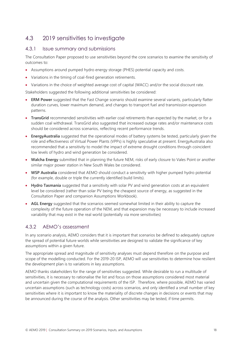## <span id="page-17-0"></span>4.3 2019 sensitivities to investigate

#### 4.3.1 Issue summary and submissions

The Consultation Paper proposed to use sensitivities beyond the core scenarios to examine the sensitivity of outcomes to:

- Assumptions around pumped hydro energy storage (PHES) potential capacity and costs.
- Variations in the timing of coal-fired generation retirements.
- Variations in the choice of weighted average cost of capital (WACC) and/or the social discount rate.

Stakeholders suggested the following additional sensitivities be considered:

- **ERM Power** suggested that the Fast Change scenario should examine several variants, particularly flatter duration curves, lower maximum demand, and changes to transport fuel and transmission expansion patterns.
- **TransGrid** recommended sensitivities with earlier coal retirements than expected by the market, or for a sudden coal withdrawal. TransGrid also suggested that increased outage rates and/or maintenance costs should be considered across scenarios, reflecting recent performance trends.
- **EnergyAustralia** suggested that the operational modes of battery systems be tested, particularly given the role and effectiveness of Virtual Power Plants (VPPs) is highly speculative at present. EnergyAustralia also recommended that a sensitivity to model the impact of extreme drought conditions through coincident low levels of hydro and wind generation be considered.
- **Walcha Energy** submitted that in planning the future NEM, risks of early closure to Vales Point or another similar major power station in New South Wales be considered.
- **WSP Australia** considered that AEMO should conduct a sensitivity with higher pumped hydro potential (for example, double or triple the currently identified build limits).
- **Hydro Tasmania** suggested that a sensitivity with solar PV and wind generation costs at an equivalent level be considered (rather than solar PV being the cheapest source of energy, as suggested in the Consultation Paper and companion Assumptions Workbook).
- **AGL Energy** suggested that the scenarios seemed somewhat limited in their ability to capture the complexity of the future operation of the NEM, and that expansion may be necessary to include increased variability that may exist in the real world (potentially via more sensitivities)

## 4.3.2 AEMO's assessment

In any scenario analysis, AEMO considers that it is important that scenarios be defined to adequately capture the spread of potential future worlds while sensitivities are designed to validate the significance of key assumptions within a given future.

The appropriate spread and magnitude of sensitivity analyses must depend therefore on the purpose and scope of the modelling conducted. For the 2019-20 ISP, AEMO will use sensitivities to determine how resilient the development plan is to variations in key assumptions.

AEMO thanks stakeholders for the range of sensitivities suggested. While desirable to run a multitude of sensitivities, it is necessary to rationalise the list and focus on those assumptions considered most material and uncertain given the computational requirements of the ISP. Therefore, where possible, AEMO has varied uncertain assumptions (such as technology costs) across scenarios, and only identified a small number of key sensitivities where it is important to know the materiality of discrete changes in decisions or events that may be announced during the course of the analysis. Other sensitivities may be tested, if time permits.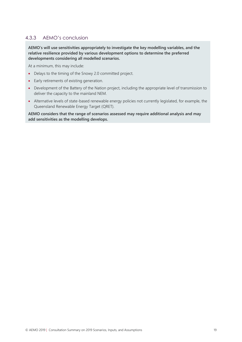## 4.3.3 AEMO's conclusion

**AEMO's will use sensitivities appropriately to investigate the key modelling variables, and the relative resilience provided by various development options to determine the preferred developments considering all modelled scenarios.** 

At a minimum, this may include:

- Delays to the timing of the Snowy 2.0 committed project.
- Early retirements of existing generation.
- Development of the Battery of the Nation project, including the appropriate level of transmission to deliver the capacity to the mainland NEM.
- Alternative levels of state-based renewable energy policies not currently legislated, for example, the Queensland Renewable Energy Target (QRET).

**AEMO considers that the range of scenarios assessed may require additional analysis and may add sensitivities as the modelling develops.**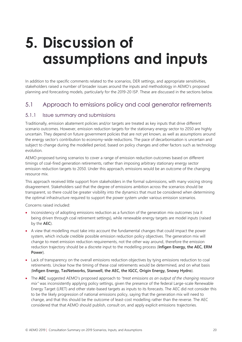## <span id="page-19-0"></span>**5. Discussion of assumptions and inputs**

In addition to the specific comments related to the scenarios, DER settings, and appropriate sensitivities, stakeholders raised a number of broader issues around the inputs and methodology in AEMO's proposed planning and forecasting models, particularly for the 2019-20 ISP. These are discussed in the sections below.

## <span id="page-19-1"></span>5.1 Approach to emissions policy and coal generator retirements

#### 5.1.1 Issue summary and submissions

Traditionally, emission abatement policies and/or targets are treated as key inputs that drive different scenario outcomes. However, emission reduction targets for the stationary energy sector to 2050 are highly uncertain. They depend on future government policies that are not yet known, as well as assumptions around the energy sector's contribution to economy-wide reductions. The pace of decarbonisation is uncertain and subject to change during the modelled period, based on policy changes and other factors such as technology evolution.

AEMO proposed tuning scenarios to cover a range of emission reduction outcomes based on different timings of coal-fired generation retirements, rather than imposing arbitrary stationary energy sector emission reduction targets to 2050. Under this approach, emissions would be an outcome of the changing resource mix.

This approach received little support from stakeholders in the formal submissions, with many voicing strong disagreement. Stakeholders said that the degree of emissions ambition across the scenarios should be transparent, so there could be greater visibility into the dynamics that must be considered when determining the optimal infrastructure required to support the power system under various emission scenarios.

Concerns raised included:

- Inconsistency of adopting emissions reduction as a function of the generation mix outcomes (via it being driven through coal retirement settings), while renewable energy targets are model inputs (raised by the **AEC**).
- A view that modelling must take into account the fundamental changes that could impact the power system, which include credible possible emission reduction policy objectives. The generation mix will change to meet emission reduction requirements, not the other way around, therefore the emission reduction trajectory should be a discrete input to the modelling process (**Infigen Energy, the AEC, ERM Power**).
- Lack of transparency on the overall emissions reduction objectives by tying emissions reduction to coal retirements. Unclear how the timing of these coal retirements would be determined, and on what basis (**Infigen Energy, TasNetworks, Stanwell, the AEC, the IGCC, Origin Energy, Snowy Hydro**).
- The **AEC** suggested AEMO's proposed approach to *"treat emissions as an output of the changing resource mix"* was inconsistently applying policy settings, given the presence of the federal Large-scale Renewable Energy Target (LRET) and other state-based targets as inputs to its forecasts. The AEC did not consider this to be the likely progression of national emissions policy, saying that the generation mix will need to change, and that this should be the outcome of least-cost modelling rather than the reverse. The AEC considered that that AEMO should publish, consult on, and apply explicit emissions trajectories.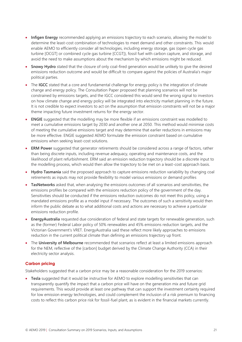- **Infigen Energy** recommended applying an emissions trajectory to each scenario, allowing the model to determine the least-cost combination of technologies to meet demand and other constraints. This would enable AEMO to efficiently consider all technologies, including energy storage, gas (open cycle gas turbine [OCGT] or combined cycle gas turbine [CCGT]), fossil fuel with carbon capture, and storage, and avoid the need to make assumptions about the mechanism by which emissions might be reduced.
- **Snowy Hydro** stated that the closure of only coal-fired generation would be unlikely to give the desired emissions reduction outcome and would be difficult to compare against the policies of Australia's major political parties.
- The **IGCC** stated that a core and fundamental challenge for energy policy is the integration of climate change and energy policy. The Consultation Paper proposed that planning scenarios will not be constrained by emissions targets, and the IGCC considered this would send the wrong signal to investors on how climate change and energy policy will be integrated into electricity market planning in the future. It is not credible to expect investors to act on the assumption that emission constraints will not be a major theme impacting future investment returns for the energy sector.
- **ENGIE** suggested that the modelling may be more flexible if an emissions constraint was modelled to meet a cumulative emissions target by 2030 and another one at 2050. This method would minimise costs of meeting the cumulative emissions target and may determine that earlier reductions in emissions may be more effective. ENGIE suggested AEMO formulate the emission constraint based on cumulative emissions when seeking least-cost solutions.
- **ERM Power** suggested that generator retirements should be considered across a range of factors, rather than being discrete inputs, including revenue adequacy, operating and maintenance costs, and the likelihood of plant refurbishment. ERM said an emission reduction trajectory should be a discrete input to the modelling process, which would then allow the trajectory to be met on a least-cost approach basis.
- **Hydro Tasmania** said the proposed approach to capture emissions reduction variability by changing coal retirements as inputs may not provide flexibility to model various emissions or demand profiles
- **TasNetworks** asked that, when analysing the emissions outcomes of all scenarios and sensitivities, the emissions profiles be compared with the emissions reduction policy of the government of the day. Sensitivities should be conducted if the emissions reduction outcomes do not meet this policy, using a mandated emissions profile as a model input if necessary. The outcomes of such a sensitivity would then inform the public debate as to what additional costs and actions are necessary to achieve a particular emissions reduction profile.
- **EnergyAustralia** requested due consideration of federal and state targets for renewable generation, such as the (former) Federal Labor policy of 50% renewables and 45% emissions reduction targets, and the Victorian Government's VRET. EnergyAustralia said these reflect more likely approaches to emissions reduction in the current political climate than defining an emissions trajectory up front.
- The **University of Melbourne** recommended that scenarios reflect at least a limited emissions approach for the NEM, reflective of the [carbon] budget derived by the Climate Change Authority (CCA) in their electricity sector analysis.

#### **Carbon pricing**

Stakeholders suggested that a carbon price may be a reasonable consideration for the 2019 scenarios:

• **Tesla** suggested that it would be instructive for AEMO to explore modelling sensitivities that can transparently quantify the impact that a carbon price will have on the generation mix and future grid requirements. This would provide at least one pathway that can support the investment certainty required for low emission energy technologies, and could complement the inclusion of a risk premium to financing costs to reflect this carbon price risk for fossil-fuel plant, as is evident in the financial markets currently.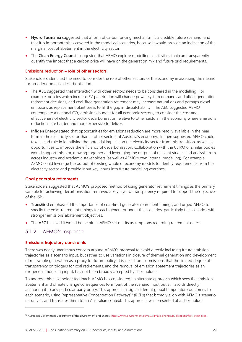- **Hydro Tasmania** suggested that a form of carbon pricing mechanism is a credible future scenario, and that it is important this is covered in the modelled scenarios, because it would provide an indication of the marginal cost of abatement in the electricity sector.
- The **Clean Energy Council** suggested that AEMO explore modelling sensitivities that can transparently quantify the impact that a carbon price will have on the generation mix and future grid requirements.

#### **Emissions reduction – role of other sectors**

Stakeholders identified the need to consider the role of other sectors of the economy in assessing the means for broader domestic decarbonisation.

- The **AEC** suggested that interaction with other sectors needs to be considered in the modelling. For example, policies which increase EV penetration will change power system demands and affect generation retirement decisions, and coal-fired generation retirement may increase natural gas and perhaps diesel emissions as replacement plant seeks to fill the gap in dispatchability. The AEC suggested AEMO contemplate a national  $CO<sub>2</sub>$  emissions budget for all economic sectors, to consider the cost and effectiveness of electricity sector decarbonisation relative to other sectors in the economy where emissions reductions are harder and more expensive to deliver.
- **Infigen Energy** stated that opportunities for emissions reduction are more readily available in the near term in the electricity sector than in other sectors of Australia's economy. Infigen suggested AEMO could take a lead role in identifying the potential impacts on the electricity sector from this transition, as well as opportunities to improve the efficiency of decarbonisation. Collaboration with the CSIRO or similar bodies would support this aim, drawing together and leveraging the outputs of relevant studies and analysis from across industry and academic stakeholders (as well as AEMO's own internal modelling). For example, AEMO could leverage the output of existing whole of economy models to identify requirements from the electricity sector and provide input key inputs into future modelling exercises.

#### **Coal generator retirements**

Stakeholders suggested that AEMO's proposed method of using generator retirement timings as the primary variable for achieving decarbonisation removed a key layer of transparency required to support the objectives of the ISP.

- **TransGrid** emphasised the importance of coal-fired generator retirement timings, and urged AEMO to specify the exact retirement timings for each generator under the scenarios, particularly the scenarios with stronger emissions abatement objectives.
- The **AEC** believed it would be helpful if AEMO set out its assumptions regarding retirement dates.

#### 5.1.2 AEMO's response

#### **Emissions trajectory constraints**

 $\overline{a}$ 

There was nearly unanimous concern around AEMO's proposal to avoid directly including future emission trajectories as a scenario input, but rather to use variations in closure of thermal generation and development of renewable generation as a proxy for future policy. It is clear from submissions that the limited degree of transparency on triggers for coal retirements, and the removal of emission abatement trajectories as an exogenous modelling input, has not been broadly accepted by stakeholders.

To address this stakeholder feedback, AEMO has considered an alternate approach which sees the emission abatement and climate change consequences form part of the scenario input but still avoids directly anchoring it to any particular party policy. This approach assigns different global temperature outcomes to each scenario, using Representative Concentration Pathways<sup>16</sup> (RCPs) that broadly align with AEMO's scenario narratives, and translates them to an Australian context. This approach was presented at a stakeholder

<sup>16</sup> Australian Government Department of the Environment and Energy[: https://www.environment.gov.au/climate-change/publications/fact-sheet-rcps](https://www.environment.gov.au/climate-change/publications/fact-sheet-rcps)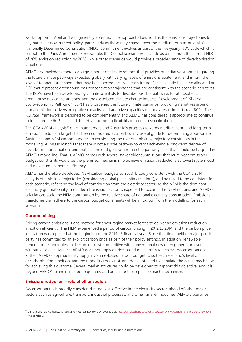workshop on 12 April and was generally accepted. The approach does not link the emissions trajectories to any particular government policy, particularly as these may change over the medium term as Australia's Nationally Determined Contribution (NDC) commitment evolves as part of the five-yearly NDC cycle which is central to the Paris Agreement. For example, the Central scenario will include as a minimum the current NDC of 26% emission reduction by 2030, while other scenarios would provide a broader range of decarbonisation ambitions.

AEMO acknowledges there is a large amount of climate science that provides quantitative support regarding the future climate pathways expected globally with varying levels of emissions abatement, and in turn the level of temperature change that may be expected locally in each future. Each scenario has been allocated an RCP that represent greenhouse gas concentration trajectories that are consistent with the scenario narratives. The RCPs have been developed by climate scientists to describe possible pathways for atmospheric greenhouse gas concentrations, and the associated climate change impacts. Development of "Shared Socio-economic Pathways" (SSP) has broadened the future climate scenarios, providing narratives around global emissions drivers, mitigative capacity, and adaptive capacities that may result in particular RCPs. The RCP/SSP framework is designed to be complementary, and AEMO has considered it appropriate to continue to focus on the RCPs selected, thereby maximising flexibility in scenario specification.

The CCA's 2014 analysis<sup>17</sup> on climate targets and Australia's progress towards medium-term and long-term emissions reduction targets has been considered as a particularly useful guide for determining appropriate Australian and NEM carbon budgets. In considering the role of emissions trajectory constraints in the modelling, AEMO is mindful that there is not a single pathway towards achieving a long-term degree of decarbonisation ambition, and that it is the end goal rather than the pathway itself that should be targeted in AEMO's modelling. That is, AEMO agrees with several stakeholder submissions that multi-year emissions budget constraints would be the preferred mechanism to achieve emissions reductions at lowest system cost and maximum economic efficiency.

AEMO has therefore developed NEM carbon budgets to 2050, broadly consistent with the CCA's 2014 analysis of emissions trajectories (considering global per-capita emissions), and adjusted to be consistent for each scenario, reflecting the level of contribution from the electricity sector. As the NEM is the dominant electricity grid nationally, most decarbonisation action is expected to occur in the NEM regions, and AEMO's calculations scale the NEM contribution by the relative share of national electricity consumption. Emissions trajectories that adhere to the carbon budget constraints will be an output from the modelling for each scenario.

#### **Carbon pricing**

Pricing carbon emissions is one method for encouraging market forces to deliver an emissions reduction ambition efficiently. The NEM experienced a period of carbon pricing in 2012 to 2014, and the carbon price legislation was repealed at the beginning of the 2014-15 financial year. Since that time, neither major political party has committed to an explicit carbon price as part of their policy settings. In addition, renewable generation technologies are becoming cost-competitive with conventional new entry generation even without subsidies. As such, AEMO does not apply a price-based mechanism to achieve decarbonisation. Rather, AEMO's approach may apply a volume-based carbon budget to suit each scenario's level of decarbonisation ambition, and the modelling does not, and does not need to, stipulate the actual mechanism for achieving this outcome. Several market structures could be developed to support this objective, and it is beyond AEMO's planning scope to quantify and articulate the impacts of each mechanism.

#### **Emissions reduction – role of other sectors**

Decarbonisation is broadly considered more cost-effective in the electricity sector, ahead of other major sectors such as agriculture, transport, industrial processes, and other smaller industries. AEMO's scenarios

<sup>17</sup> Climate Change Authority, Targets and Progress Review, 204, available a[t http://climatechangeauthority.gov.au/reviews/targets-and-progress-review-3](http://climatechangeauthority.gov.au/reviews/targets-and-progress-review-3) (Appendix C)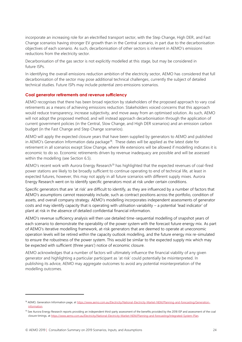incorporate an increasing role for an electrified transport sector, with the Step Change, High DER, and Fast Change scenarios having stronger EV growth than in the Central scenario, in part due to the decarbonisation objectives of each scenario. As such, decarbonisation of other sectors is inherent in AEMO's emissions reductions from the electricity sector.

Decarbonisation of the gas sector is not explicitly modelled at this stage, but may be considered in future ISPs.

In identifying the overall emissions reduction ambition of the electricity sector, AEMO has considered that full decarbonisation of the sector may pose additional technical challenges, currently the subject of detailed technical studies. Future ISPs may include potential zero emissions scenarios.

#### **Coal generator retirements and revenue sufficiency**

AEMO recognises that there has been broad rejection by stakeholders of the proposed approach to vary coal retirements as a means of achieving emissions reduction. Stakeholders voiced concerns that this approach would reduce transparency, increase subjectivity, and move away from an optimised solution. As such, AEMO will not adopt the proposed method, and will instead approach decarbonisation through the application of current government policies (in the Central, Slow Change, and High DER scenarios) and an emission carbon budget (in the Fast Change and Step Change scenarios).

AEMO will apply the expected closure years that have been supplied by generators to AEMO and published in AEMO's Generation Information data package<sup>18</sup>. These dates will be applied as the latest date for retirement in all scenarios except Slow Change, where life extensions will be allowed if modelling indicates it is economic to do so. Economic retirements driven by revenue inadequacy are possible and will be assessed within the modelling (see Section [6.5\)](#page-46-0).

AEMO's recent work with Aurora Energy Research<sup>19</sup> has highlighted that the expected revenues of coal-fired power stations are likely to be broadly sufficient to continue operating to end of technical life, at least in expected futures, however, this may not apply in all future scenarios with different supply mixes. Aurora Energy Research went on to identify specific generators most at risk under certain conditions.

Specific generators that are 'at risk' are difficult to identify, as they are influenced by a number of factors that AEMO's assumptions cannot reasonably include, such as contract positions across the portfolio, condition of assets, and overall company strategy. AEMO's modelling incorporates independent assessments of generator costs and may identify capacity that is operating with utilisation variability – a potential 'lead indicator' of plant at risk in the absence of detailed confidential financial information.

AEMO's revenue sufficiency analysis will then use detailed time-sequential modelling of snapshot years of each scenario to demonstrate the operability of the power system with the forecast future energy mix. As part of AEMO's iterative modelling framework, at-risk generators that are deemed to operate at uneconomic operation levels will be retired within the capacity outlook modelling, and the future energy mix re-simulated to ensure the robustness of the power system. This would be similar to the expected supply mix which may be expected with sufficient (three years') notice of economic closure.

AEMO acknowledges that a number of factors will ultimately influence the financial viability of any given generator and highlighting a particular participant as 'at risk' could potentially be misinterpreted. In publishing its advice, AEMO may aggregate outcomes to avoid any potential misinterpretation of the modelling outcomes.

<sup>18</sup> AEMO, Generation Information page, a[t https://www.aemo.com.au/Electricity/National-Electricity-Market-NEM/Planning-and-forecasting/Generation](https://www.aemo.com.au/Electricity/National-Electricity-Market-NEM/Planning-and-forecasting/Generation-information)**information** 

<sup>&</sup>lt;sup>19</sup> See Aurora Energy Research reports providing an independent third-party assessment of the benefits provided by the 2018 ISP and assessment of the coal closure timings, at [https://www.aemo.com.au/Electricity/National-Electricity-Market-NEM/Planning-and-forecasting/Integrated-System-Plan.](https://www.aemo.com.au/Electricity/National-Electricity-Market-NEM/Planning-and-forecasting/Integrated-System-Plan)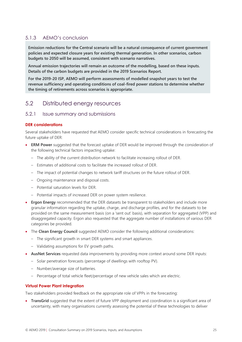## 5.1.3 AEMO's conclusion

**Emission reductions for the Central scenario will be a natural consequence of current government policies and expected closure years for existing thermal generation. In other scenarios, carbon budgets to 2050 will be assumed, consistent with scenario narratives.** 

**Annual emission trajectories will remain an outcome of the modelling, based on these inputs. Details of the carbon budgets are provided in the 2019 Scenarios Report.**

**For the 2019-20 ISP, AEMO will perform assessments of modelled snapshot years to test the revenue sufficiency and operating conditions of coal-fired power stations to determine whether the timing of retirements across scenarios is appropriate.** 

## <span id="page-24-0"></span>5.2 Distributed energy resources

## 5.2.1 Issue summary and submissions

#### **DER considerations**

Several stakeholders have requested that AEMO consider specific technical considerations in forecasting the future uptake of DER:

- **ERM Power** suggested that the forecast uptake of DER would be improved through the consideration of the following technical factors impacting uptake:
	- The ability of the current distribution network to facilitate increasing rollout of DER.
	- Estimates of additional costs to facilitate the increased rollout of DER.
	- The impact of potential changes to network tariff structures on the future rollout of DER.
	- Ongoing maintenance and disposal costs.
	- Potential saturation levels for DER.
	- Potential impacts of increased DER on power system resilience.
- **Ergon Energy** recommended that the DER datasets be transparent to stakeholders and include more granular information regarding the uptake, charge, and discharge profiles, and for the datasets to be provided on the same measurement basis (on a 'sent out' basis), with separation for aggregated (VPP) and disaggregated capacity. Ergon also requested that the aggregate number of installations of various DER categories be provided.
- The **Clean Energy Council** suggested AEMO consider the following additional considerations:
	- The significant growth in smart DER systems and smart appliances.
	- Validating assumptions for EV growth paths.
- **AusNet Services** requested data improvements by providing more context around some DER inputs:
	- Solar penetration forecasts (percentage of dwellings with rooftop PV).
	- Number/average size of batteries.
	- Percentage of total vehicle fleet/percentage of new vehicle sales which are electric.

#### **Virtual Power Plant integration**

Two stakeholders provided feedback on the appropriate role of VPPs in the forecasting:

• **TransGrid** suggested that the extent of future VPP deployment and coordination is a significant area of uncertainty, with many organisations currently assessing the potential of these technologies to deliver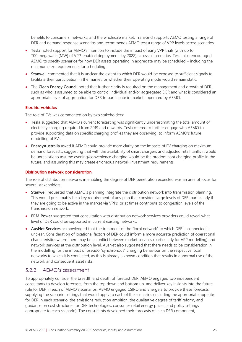benefits to consumers, networks, and the wholesale market. TransGrid supports AEMO testing a range of DER and demand response scenarios and recommends AEMO test a range of VPP levels across scenarios.

- **Tesla** noted support for AEMO's intention to include the impact of early VPP trials (with up to 700 megawatts [MW] of VPP-enabled deployments by 2022) across all scenarios. Tesla also encouraged AEMO to specify scenarios for how DER assets operating in aggregate may be scheduled – including the minimum size requirements for scheduling.
- **Stanwell** commented that it is unclear the extent to which DER would be exposed to sufficient signals to facilitate their participation in the market, or whether their operating mode would remain static.
- The **Clean Energy Council** noted that further clarity is required on the management and growth of DER, such as who is assumed to be able to control individual and/or aggregated DER and what is considered an appropriate level of aggregation for DER to participate in markets operated by AEMO.

#### **Electric vehicles**

The role of EVs was commented on by two stakeholders:

- **Tesla** suggested that AEMO's current forecasting was significantly underestimating the total amount of electricity charging required from 2019 and onwards. Tesla offered to further engage with AEMO to provide supporting data on specific charging profiles they are observing, to inform AEMO's future modelling of EVs.
- **EnergyAustralia** asked if AEMO could provide more clarity on the impacts of EV charging on maximum demand forecasts, suggesting that with the availability of smart chargers and adjusted retail tariffs it would be unrealistic to assume evening/convenience charging would be the predominant charging profile in the future, and assuming this may create erroneous network investment requirements.

#### **Distribution network consideration**

The role of distribution networks in enabling the degree of DER penetration expected was an area of focus for several stakeholders:

- **Stanwell** requested that AEMO's planning integrate the distribution network into transmission planning. This would presumably be a key requirement of any plan that considers large levels of DER, particularly if they are going to be active in the market via VPPs, or at times contribute to congestion levels of the transmission network.
- **ERM Power** suggested that consultation with distribution network services providers could reveal what level of DER could be supported in current existing networks.
- **AusNet Services** acknowledged that the treatment of the "local network" to which DER is connected is unclear. Consideration of locational factors of DER could inform a more accurate prediction of operational characteristics where there may be a conflict between market services (particularly for VPP modelling) and network services at the distribution level. AusNet also suggested that there needs to be consideration in the modelling for the impact of pseudo "synchronous" charging behaviour on the respective local networks to which it is connected, as this is already a known condition that results in abnormal use of the network and consequent asset risks.

#### 5.2.2 AEMO's assessment

To appropriately consider the breadth and depth of forecast DER, AEMO engaged two independent consultants to develop forecasts, from the top down and bottom up, and deliver key insights into the future role for DER in each of AEMO's scenarios. AEMO engaged CSIRO and Energeia to provide these forecasts, supplying the scenario settings that would apply to each of the scenarios (including the appropriate appetite for DER in each scenario, the emissions reduction ambition, the qualitative degree of tariff reform, and guidance on cost structures for DER technologies, consumer retail energy prices, and policy settings appropriate to each scenario). The consultants developed their forecasts of each DER component,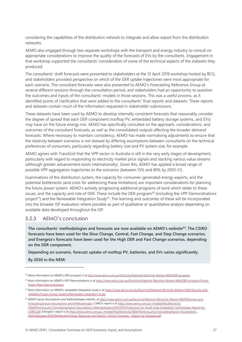considering the capabilities of the distribution network to integrate and allow export from the distribution networks.

AEMO also engaged through two separate workshops with the transport and energy industry to consult on appropriate considerations to improve the quality of the forecasts of EVs by the consultants. Engagement in that workshop supported the consultants' consideration of some of the technical aspects of the datasets they produced.

The consultants' draft forecasts were presented to stakeholders at the 12 April 2019 workshop hosted by BCG, and stakeholders provided perspective on which of the DER uptake trajectories were most appropriate for each scenario. The consultant forecasts were also presented to AEMO's Forecasting Reference Group at several different sessions through the consultation period, and stakeholders had an opportunity to question the outcomes and inputs of the consultants' models in those sessions. This was a useful process, as it identified points of clarification that were added to the consultants' final reports and datasets. These reports and datasets contain much of the information requested in stakeholder submissions.

These datasets have been used by AEMO to develop internally consistent forecasts that reasonably consider the degree of spread that each DER component (rooftop PV, embedded battery storage systems, and EVs) may have on the future energy mix. AEMO has specifically consulted on the approach, considerations, and outcomes of the consultant forecasts, as well as the consolidated outputs affecting the broader demand forecasts. Where necessary to maintain consistency, AEMO has made normalising adjustments to ensure that the relativity between scenarios is not skewed by differing assumptions between consultants on the technical preferences of consumers, particularly regarding battery size and PV system size, for example.

AEMO agrees with TransGrid that the VPP sector in Australia is still in the very early stages of development, particularly with regard to responding to electricity market price signals and stacking various value streams (although greater advancement exists internationally). Given this, AEMO has applied a broad range of possible VPP aggregation trajectories to the scenarios (between 15% and 80% by 2050-51).

Examinations of the distribution system, the capacity for consumer-generated energy exports, and the potential bottlenecks (and costs for addressing these limitations) are important considerations for planning the future power system. AEMO's actively progressing additional programs of work which relate to these issues, and the capacity and role of DER. These include the DER program<sup>20</sup> (including the VPP Demonstrations project<sup>21</sup>) and the Renewable Integration Study<sup>22</sup>. The learning and outcomes of these will be incorporated into the broader ISP evaluation where possible as part of qualitative or quantitative analysis depending on available data developed throughout the ISP.

#### 5.2.3 AEMO's conclusion

**The consultants' methodologies and forecasts are now available on AEMO's website<sup>23</sup> . The CSIRO forecasts have been used for the Slow Change, Central, Fast Change, and Step Change scenarios, and Energeia's forecasts have been used for the High DER and Fast Change scenarios, depending on the DER component.** 

**Depending on scenario, forecast uptake of rooftop PV, batteries, and EVs varies significantly.**

**By 2030 in the NEM:**

 $\overline{a}$ 

<sup>&</sup>lt;sup>20</sup> More information on AEMO's DER program is at http://www.aemo.com.au/Electricity/National-Electricity-Market-NEM/DER-program.

<sup>&</sup>lt;sup>21</sup> More information on AEMO's VPP Demonstrations is at [https://www.aemo.com.au/Electricity/National-Electricity-Market-NEM/DER-program/Virtual-](https://www.aemo.com.au/Electricity/National-Electricity-Market-NEM/DER-program/Virtual-Power-Plant-Demonstrations)[Power-Plant-Demonstrations.](https://www.aemo.com.au/Electricity/National-Electricity-Market-NEM/DER-program/Virtual-Power-Plant-Demonstrations) 

<sup>&</sup>lt;sup>22</sup> More information on AEMO's renewable integration study is at [https://www.aemo.com.au/Electricity/National-Electricity-Market-NEM/Security-and](https://www.aemo.com.au/Electricity/National-Electricity-Market-NEM/Security-and-reliability/Future-Energy-Systems/Renewable-Integration-Study)[reliability/Future-Energy-Systems/Renewable-Integration-Study.](https://www.aemo.com.au/Electricity/National-Electricity-Market-NEM/Security-and-reliability/Future-Energy-Systems/Renewable-Integration-Study) 

<sup>&</sup>lt;sup>23</sup> AEMO Inputs Assumptions and Methodologies website, a[t https://www.aemo.com.au/Electricity/National-Electricity-Market-NEM/Planning-and](https://www.aemo.com.au/Electricity/National-Electricity-Market-NEM/Planning-and-forecasting/Inputs-Assumptions-and-Methodologies)[forecasting/Inputs-Assumptions-and-Methodologies](https://www.aemo.com.au/Electricity/National-Electricity-Market-NEM/Planning-and-forecasting/Inputs-Assumptions-and-Methodologies). CSIRO's report is at [https://www.aemo.com.au/-/media/Files/Electricity/](https://www.aemo.com.au/-/media/Files/Electricity/NEM/Planning_and_Forecasting/Inputs-Assumptions-Methodologies/2019/2019-Projections-for-Small-Scale-Embedded-Technologies-Report-by-CSIRO.pdf) [NEM/Planning\\_and\\_Forecasting/Inputs-Assumptions-Methodologies/2019/2019-Projections-for-Small-Scale-Embedded-Technologies-Report-by-](https://www.aemo.com.au/-/media/Files/Electricity/NEM/Planning_and_Forecasting/Inputs-Assumptions-Methodologies/2019/2019-Projections-for-Small-Scale-Embedded-Technologies-Report-by-CSIRO.pdf)[CSIRO.pdf](https://www.aemo.com.au/-/media/Files/Electricity/NEM/Planning_and_Forecasting/Inputs-Assumptions-Methodologies/2019/2019-Projections-for-Small-Scale-Embedded-Technologies-Report-by-CSIRO.pdf). Energeia's report is at [https://www.aemo.com.au/-/media/Files/Electricity/NEM/Planning\\_and\\_Forecasting/Inputs-Assumptions-](https://www.aemo.com.au/-/media/Files/Electricity/NEM/Planning_and_Forecasting/Inputs-Assumptions-Methodologies/2019/Distributed-Energy-Resources-and-Electric-Vehicle-Forecasts---Report-by-Energeia.pdf)[Methodologies/2019/Distributed-Energy-Resources-and-Electric-Vehicle-Forecasts---Report-by-Energeia.pdf.](https://www.aemo.com.au/-/media/Files/Electricity/NEM/Planning_and_Forecasting/Inputs-Assumptions-Methodologies/2019/Distributed-Energy-Resources-and-Electric-Vehicle-Forecasts---Report-by-Energeia.pdf)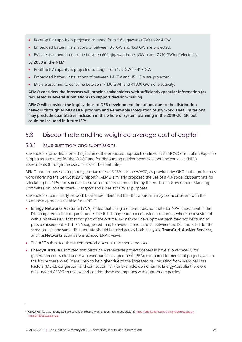- Rooftop PV capacity is projected to range from 9.6 gigawatts (GW) to 22.4 GW.
- Embedded battery installations of between 0.8 GW and 15.9 GW are projected.
- EVs are assumed to consume between 600 gigawatt hours (GWh) and 7,710 GWh of electricity.

#### **By 2050 in the NEM:**

- Rooftop PV capacity is projected to range from 17.9 GW to 41.3 GW.
- Embedded battery installations of between 1.4 GW and 45.1 GW are projected.
- EVs are assumed to consume between 17,130 GWh and 41,800 GWh of electricity.

**AEMO considers the forecasts will provide stakeholders with sufficiently granular information (as requested in several submissions) to support decision-making.** 

**AEMO will consider the implications of DER development limitations due to the distribution network through AEMO's DER program and Renewable Integration Study work. Data limitations may preclude quantitative inclusion in the whole of system planning in the 2019-20 ISP, but could be included in future ISPs.**

## <span id="page-27-0"></span>5.3 Discount rate and the weighted average cost of capital

#### 5.3.1 Issue summary and submissions

Stakeholders provided a broad rejection of the proposed approach outlined in AEMO's Consultation Paper to adopt alternate rates for the WACC and for discounting market benefits in net present value (NPV) assessments (through the use of a social discount rate).

AEMO had proposed using a real, pre-tax rate of 6.25% for the WACC, as provided by GHD in the preliminary work informing the GenCost 2018 report<sup>24</sup>. AEMO similarly proposed the use of a 4% social discount rate for calculating the NPV, the same as the discount rate recommended by the Australian Government Standing Committee on Infrastructure, Transport and Cities for similar purposes.

Stakeholders, particularly network businesses, identified that this approach may be inconsistent with the acceptable approach suitable for a RIT-T:

- **Energy Networks Australia (ENA)** stated that using a different discount rate for NPV assessment in the ISP compared to that required under the RIT-T may lead to inconsistent outcomes, where an investment with a positive NPV that forms part of the optimal ISP network development path may not be found to pass a subsequent RIT-T. ENA suggested that, to avoid inconsistencies between the ISP and RIT-T for the same project, the same discount rate should be used across both analyses. **TransGrid**, **AusNet Services**, and **TasNetworks** submissions echoed ENA's views.
- The **AEC** submitted that a commercial discount rate should be used.
- **EnergyAustralia** submitted that historically renewable projects generally have a lower WACC for generation contracted under a power purchase agreement (PPA), compared to merchant projects, and in the future these WACCs are likely to be higher due to the increased risk resulting from Marginal Loss Factors (MLFs), congestion, and connection risk (for example, do no harm). EnergyAustralia therefore encouraged AEMO to review and confirm these assumptions with appropriate parties.

<sup>&</sup>lt;sup>24</sup> CSIRO, GenCost 2018: Updated projections of electricity generation technology costs, at [https://publications.csiro.au/rpr/download?pid=](https://publications.csiro.au/rpr/download?pid=‌csiro:EP189502&dsid=DS1) [csiro:EP189502&dsid=DS1.](https://publications.csiro.au/rpr/download?pid=‌csiro:EP189502&dsid=DS1)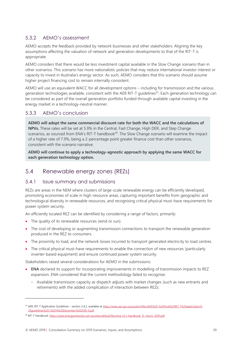## 5.3.2 AEMO's assessment

AEMO accepts the feedback provided by network businesses and other stakeholders. Aligning the key assumptions affecting the valuation of network and generation developments to that of the RIT-T is appropriate.

AEMO considers that there would be less investment capital available in the Slow Change scenario than in other scenarios. This scenario has more nationalistic policies that may reduce international investor interest or capacity to invest in Australia's energy sector. As such, AEMO considers that this scenario should assume higher project financing cost to remain internally consistent.

AEMO will use an equivalent WACC for all development options – including for transmission and the various generation technologies available, consistent with the AER RIT-T guidelines<sup>25</sup>. Each generation technology can be considered as part of the overall generation portfolio funded through available capital investing in the energy market in a technology-neutral manner.

#### 5.3.3 AEMO's conclusion

**AEMO will adopt the same commercial discount rate for both the WACC and the calculations of NPVs.** These rates will be set at 5.9% in the Central, Fast Change, High DER, and Step Change scenarios, as sourced from ENA's RIT-T handbook<sup>26</sup>. The Slow Change scenario will examine the impact of a higher rate of 7.9%, being a 2-percentage point greater finance cost than other scenarios, consistent with the scenario narrative.

**AEMO will continue to apply a technology-agnostic approach by applying the same WACC for each generation technology option.**

## <span id="page-28-0"></span>5.4 Renewable energy zones (REZs)

#### 5.4.1 Issue summary and submissions

REZs are areas in the NEM where clusters of large-scale renewable energy can be efficiently developed, promoting economies of scale in high-resource areas, capturing important benefits from geographic and technological diversity in renewable resources, and recognising critical physical must-have requirements for power system security.

An efficiently located REZ can be identified by considering a range of factors, primarily:

• The quality of its renewable resources (wind or sun).

- The cost of developing or augmenting transmission connections to transport the renewable generation produced in the REZ to consumers.
- The proximity to load, and the network losses incurred to transport generated electricity to load centres.
- The critical physical must-have requirements to enable the connection of new resources (particularly inverter-based equipment) and ensure continued power system security.

Stakeholders raised several considerations for AEMO in the submissions:

- **ENA** declared its support for incorporating improvements in modelling of transmission impacts to REZ expansion. ENA considered that the current methodology failed to recognise:
	- Available transmission capacity as dispatch adjusts with market changes (such as new entrants and retirements) with the added complication of interaction between REZs.

<sup>&</sup>lt;sup>25</sup> AER, RIT-T Application Guidelines – section 3.4.2, available a[t https://www.aer.gov.au/system/files/AER%20-%20Final%20RIT-T%20application%](https://www.aer.gov.au/system/files/AER%20-%20Final%20RIT-T%20application%20guidelines%20-%2014%20December%202018_0.pdf) [20guidelines%20-%2014%20December%202018\\_0.pdf.](https://www.aer.gov.au/system/files/AER%20-%20Final%20RIT-T%20application%20guidelines%20-%2014%20December%202018_0.pdf)

<sup>&</sup>lt;sup>26</sup> RIT-T Handbook: https://www.energynetworks.com.au/sites/default/files/ena\_rit-t\_handbook\_15\_march\_2019.pdf.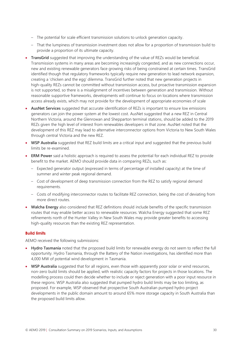- The potential for scale efficient transmission solutions to unlock generation capacity.
- That the lumpiness of transmission investment does not allow for a proportion of transmission build to provide a proportion of its ultimate capacity.
- **TransGrid** suggested that improving the understanding of the value of REZs would be beneficial. Transmission systems in many areas are becoming increasingly congested, and as new connections occur, new and existing renewable generators face growing risks of being constrained at certain times. TransGrid identified though that regulatory frameworks typically require new generation to lead network expansion, creating a 'chicken and the egg' dilemma. TransGrid further noted that new generation projects in high-quality REZs cannot be committed without transmission access, but proactive transmission expansion is not supported, so there is a misalignment of incentives between generation and transmission. Without reasonable supportive frameworks, developments will continue to focus on locations where transmission access already exists, which may not provide for the development of appropriate economies of scale
- **AusNet Services** suggested that accurate identification of REZs is important to ensure low emissions generators can join the power system at the lowest cost. AusNet suggested that a new REZ in Central Northern Victoria, around the Glenrowan and Shepparton terminal stations, should be added to the 2019 REZs given the high level of interest from renewables developers in that zone. AusNet noted that the development of this REZ may lead to alternative interconnector options from Victoria to New South Wales through central Victoria and the new REZ.
- **WSP Australia** suggested that REZ build limits are a critical input and suggested that the previous build limits be re-examined.
- **ERM Power** said a holistic approach is required to assess the potential for each individual REZ to provide benefit to the market. AEMO should provide data in comparing REZs, such as:
	- Expected generator output (expressed in terms of percentage of installed capacity) at the time of summer and winter peak regional demand.
	- Cost of development of deep transmission connection from the REZ to satisfy regional demand requirements.
	- Costs of modifying interconnector routes to facilitate REZ connection, being the cost of deviating from more direct routes.
- **Walcha Energy** also considered that REZ definitions should include benefits of the specific transmission routes that may enable better access to renewable resources. Walcha Energy suggested that some REZ refinements north of the Hunter Valley in New South Wales may provide greater benefits to accessing high-quality resources than the existing REZ representation.

#### **Build limits**

AEMO received the following submissions:

- **Hydro Tasmania** noted that the proposed build limits for renewable energy do not seem to reflect the full opportunity. Hydro Tasmania, through the Battery of the Nation investigations, has identified more than 4,000 MW of potential wind development in Tasmania.
- **WSP Australia** suggested that for all regions, even those with apparently poor solar or wind resources, non-zero build limits should be applied, with realistic capacity factors for projects in those locations. The modelling process could then decide whether to include or reject generation with a poor input resource in these regions. WSP Australia also suggested that pumped hydro build limits may be too limiting, as proposed. For example, WSP observed that prospective South Australian pumped hydro project developments in the public domain amount to around 65% more storage capacity in South Australia than the proposed build limits allow.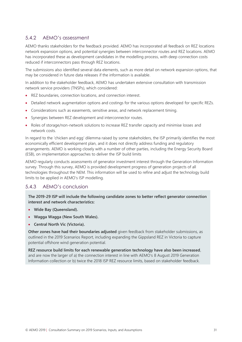### 5.4.2 AEMO's assessment

AEMO thanks stakeholders for the feedback provided. AEMO has incorporated all feedback on REZ locations network expansion options, and potential synergies between interconnector routes and REZ locations. AEMO has incorporated these as development candidates in the modelling process, with deep connection costs reduced if interconnectors pass through REZ locations.

The submissions also identified several data elements, such as more detail on network expansion options, that may be considered in future data releases if the information is available.

In addition to the stakeholder feedback, AEMO has undertaken extensive consultation with transmission network service providers (TNSPs), which considered:

- REZ boundaries, connection locations, and connection interest.
- Detailed network augmentation options and costings for the various options developed for specific REZs.
- Considerations such as easements, sensitive areas, and network replacement timing.
- Synergies between REZ development and interconnector routes.
- Roles of storage/non-network solutions to increase REZ transfer capacity and minimise losses and network costs.

In regard to the 'chicken and egg' dilemma raised by some stakeholders, the ISP primarily identifies the most economically efficient development plan, and it does not directly address funding and regulatory arrangements. AEMO is working closely with a number of other parties, including the Energy Security Board (ESB), on implementation approaches to deliver the ISP build limits

AEMO regularly conducts assessments of generator investment interest through the Generation Information survey. Through this survey, AEMO is provided development progress of generation projects of all technologies throughout the NEM. This information will be used to refine and adjust the technology build limits to be applied in AEMO's ISP modelling.

#### 5.4.3 AEMO's conclusion

**The 2019-29 ISP will include the following candidate zones to better reflect generator connection interest and network characteristics:**

- **Wide Bay (Queensland).**
- **Wagga Wagga (New South Wales).**
- **Central North Vic (Victoria).**

**Other zones have had their boundaries adjusted** given feedback from stakeholder submissions, as outlined in the 2019 Scenarios Report, including expanding the Gippsland REZ in Victoria to capture potential offshore wind generation potential.

**REZ resource build limits for each renewable generation technology have also been increased**, and are now the larger of a) the connection interest in line with AEMO's 8 August 2019 Generation Information collection or b) twice the 2018 ISP REZ resource limits, based on stakeholder feedback.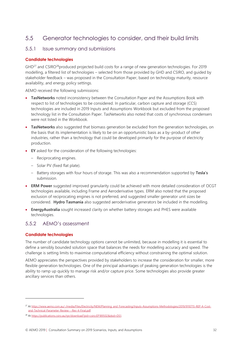## <span id="page-31-0"></span>5.5 Generator technologies to consider, and their build limits

#### 5.5.1 Issue summary and submissions

#### **Candidate technologies**

 $GHD<sup>27</sup>$  and CSIRO<sup>28</sup>produced projected build costs for a range of new generation technologies. For 2019 modelling, a filtered list of technologies – selected from those provided by GHD and CSIRO, and guided by stakeholder feedback – was proposed in the Consultation Paper, based on technology maturity, resource availability, and energy policy settings.

AEMO received the following submissions:

- **TasNetworks** noted inconsistency between the Consultation Paper and the Assumptions Book with respect to list of technologies to be considered. In particular, carbon capture and storage (CCS) technologies are included in 2019 Inputs and Assumptions Workbook but excluded from the proposed technology list in the Consultation Paper. TasNetworks also noted that costs of synchronous condensers were not listed in the Workbook.
- **TasNetworks** also suggested that biomass generation be excluded from the generation technologies, on the basis that its implementation is likely to be on an opportunistic basis as a by-product of other industries, rather than a technology that could be developed primarily for the purpose of electricity production.
- **EY** asked for the consideration of the following technologies:
	- Reciprocating engines.
	- Solar PV (fixed flat plate).
	- Battery storages with four hours of storage. This was also a recommendation supported by **Tesla's** submission.
- **ERM Power** suggested improved granularity could be achieved with more detailed consideration of OCGT technologies available, including Frame and Aeroderivative types. ERM also noted that the proposed exclusion of reciprocating engines is not preferred, and suggested smaller generator unit sizes be considered. **Hydro Tasmania** also suggested aeroderivative generators be included in the modelling.
- **EnergyAustralia** sought increased clarity on whether battery storages and PHES were available technologies.

#### 5.5.2 AEMO's assessment

#### **Candidate technologies**

The number of candidate technology options cannot be unlimited, because in modelling it is essential to define a sensibly bounded solution space that balances the needs for modelling accuracy and speed. The challenge is setting limits to maximise computational efficiency without constraining the optimal solution.

AEMO appreciates the perspectives provided by stakeholders to increase the consideration for smaller, more flexible generation technologies. One of the principal advantages of peaking generation technologies is the ability to ramp up quickly to manage risk and/or capture price. Some technologies also provide greater ancillary services than others.

<sup>&</sup>lt;sup>27</sup> A[t https://www.aemo.com.au/-/media/Files/Electricity/NEM/Planning\\_and\\_Forecasting/Inputs-Assumptions-Methodologies/2019/9110715-REP-A-Cost](https://www.aemo.com.au/-/media/Files/Electricity/NEM/Planning_and_Forecasting/Inputs-Assumptions-Methodologies/2019/9110715-REP-A-Cost-and-Technical-Parameter-Review---Rev-4-Final.pdf)[and-Technical-Parameter-Review---Rev-4-Final.pdf](https://www.aemo.com.au/-/media/Files/Electricity/NEM/Planning_and_Forecasting/Inputs-Assumptions-Methodologies/2019/9110715-REP-A-Cost-and-Technical-Parameter-Review---Rev-4-Final.pdf)*.*

<sup>28</sup> A[t https://publications.csiro.au/rpr/download?pid=csiro:EP189502&dsid=DS1](https://publications.csiro.au/rpr/download?pid=csiro:EP189502&dsid=DS1)*.*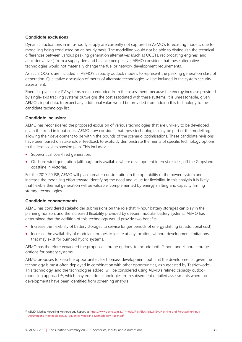#### **Candidate exclusions**

Dynamic fluctuations in intra-hourly supply are currently not captured in AEMO's forecasting models, due to modelling being conducted on an hourly basis. The modelling would not be able to distinguish the technical differences between various peaking generation alternatives (such as OCGTs, reciprocating engines, and aero-derivatives) from a supply demand balance perspective. AEMO considers that these alternative technologies would not materially change the fuel or network development requirements.

As such, OCGTs are included in AEMO's capacity outlook models to represent the peaking generation class of generation. Qualitative discussion of merits of alternate technologies will be included in the system security assessment.

Fixed flat plate solar PV systems remain excluded from the assessment, because the energy increase provided by single-axis tracking systems outweighs the cost associated with these systems. It is unreasonable, given AEMO's input data, to expect any additional value would be provided from adding this technology to the candidate technology list.

#### **Candidate inclusions**

AEMO has reconsidered the proposed exclusion of various technologies that are unlikely to be developed given the trend in input costs. AEMO now considers that these technologies may be part of the modelling, allowing their development to be within the bounds of the scenario optimisations. These candidate revisions have been based on stakeholder feedback to explicitly demonstrate the merits of specific technology options to the least-cost expansion plan. This includes:

- Supercritical coal-fired generation.
- Offshore wind generation (although only available where development interest resides, off the Gippsland coastline in Victoria).

For the 2019-20 ISP, AEMO will place greater consideration in the operability of the power system and increase the modelling effort toward identifying the need and value for flexibility. In this analysis it is likely that flexible thermal generation will be valuable, complemented by energy shifting and capacity firming storage technologies.

#### **Candidate enhancements**

AEMO has considered stakeholder submissions on the role that 4-hour battery storages can play in the planning horizon, and the increased flexibility provided by deeper, modular battery systems. AEMO has determined that the addition of this technology would provide two benefits:

- Increase the flexibility of battery storages to service longer periods of energy shifting (at additional cost).
- Increase the availability of modular storages to locate at any location, without development limitations that may exist for pumped hydro systems.

AEMO has therefore expanded the proposed storage options, to include both 2-hour and 4-hour storage options for battery systems.

AEMO proposes to keep the opportunities for biomass development, but limit the developments, given the technology is most often deployed in combination with other opportunities, as suggested by TasNetworks. This technology, and the technologies added, will be considered using AEMO's refined capacity outlook modelling approach<sup>29</sup>, which may exclude technologies from subsequent detailed assessments where no developments have been identified from screening analysis.

<sup>&</sup>lt;sup>29</sup> AEMO, Market Modelling Methodology Report, at [https://www.aemo.com.au/-/media/Files/Electricity/NEM/Planning\\_and\\_Forecasting/Inputs-](https://www.aemo.com.au/-/media/Files/Electricity/NEM/Planning_and_Forecasting/Inputs-Assumptions-Methodologies/2019/Market-Modelling-Methodology-Paper.pdf)[Assumptions-Methodologies/2019/Market-Modelling-Methodology-Paper.pdf.](https://www.aemo.com.au/-/media/Files/Electricity/NEM/Planning_and_Forecasting/Inputs-Assumptions-Methodologies/2019/Market-Modelling-Methodology-Paper.pdf)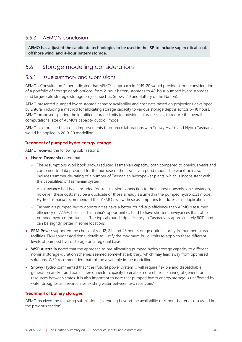## 5.5.3 AEMO's conclusion

**AEMO has adjusted the candidate technologies to be used in the ISP to include supercritical coal, offshore wind, and 4-hour battery storage.** 

## <span id="page-33-0"></span>5.6 Storage modelling considerations

#### 5.6.1 Issue summary and submissions

AEMO's Consultation Paper indicated that AEMO's approach in 2019-20 would provide strong consideration of a portfolio of storage depth options, from 2-hour battery storages to 48-hour pumped hydro storages (and large-scale strategic storage projects such as Snowy 2.0 and Battery of the Nation).

AEMO presented pumped hydro storage capacity availability and cost data based on projections developed by Entura, including a method for allocating storage capacity to various storage depths across 6-48 hours. AEMO proposed splitting the identified storage limits to individual storage sizes, to reduce the overall computational size of AEMO's capacity outlook model.

AEMO also outlined that data improvements through collaborations with Snowy Hydro and Hydro Tasmania would be applied in 2019-20 modelling.

#### **Treatment of pumped hydro energy storage**

AEMO received the following submissions:

- **Hydro Tasmania** noted that:
	- The Assumptions Workbook shows reduced Tasmanian capacity, both compared to previous years and compared to data provided for the purpose of the new seven pond model. The workbook also includes summer de-rating of a number of Tasmanian hydropower plants, which is inconsistent with the capabilities of Tasmanian system.
	- An allowance had been included for transmission connection to the nearest transmission substation, however, these costs may be a duplicate of those already assumed in the pumped hydro cost model. Hydro Tasmania recommended that AEMO review these assumptions to address this duplication.
	- Tasmania's pumped hydro opportunities have a better round-trip efficiency than AEMO's assumed efficiency of 77.5%, because Tasmania's opportunities tend to have shorter conveyances than other pumped hydro opportunities. The typical round-trip efficiency in Tasmania is approximately 80%, and can be slightly better in some locations.
- **ERM Power** supported the choice of six, 12, 24, and 48 hour storage options for hydro pumped storage facilities. ERM sought additional details to justify the maximum build limits to apply to these different levels of pumped hydro storage on a regional basis
- **WSP Australia** noted that the approach to pre-allocating pumped hydro storage capacity to different nominal storage-duration schemes seemed somewhat arbitrary, which may lead away from optimised solutions. WSP recommended that this be a variable in the modelling.
- **Snowy Hydro** commented that "the [future] power system … will require flexible and dispatchable generation and/or additional interconnector capacity to enable more efficient sharing of generation resources between states. It is also important to note that pumped hydro energy storage is unaffected by water droughts as it recirculates existing water between two reservoirs".

#### **Treatment of battery storages**

AEMO received the following submissions (extending beyond the availability of 4-hour batteries discussed in the previous section):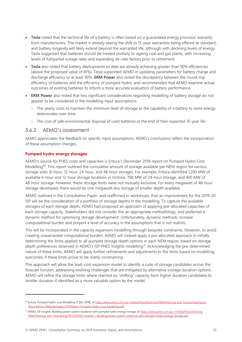- **Tesla** noted that the technical life of a battery is often based on a guaranteed energy provision warranty from manufacturers. The market is already seeing the shift to 15-year warranties being offered as standard, and battery longevity will likely extend beyond the warranted life, although with declining levels of energy. Tesla suggested that batteries should be treated similarly to ageing coal and gas plants, with increasing levels of full/partial outage rates and expanding de-rate factors prior to retirement.
- **Tesla** also noted that battery deployments to date are already achieving greater than 90% efficiencies (above the proposed value of 81%). Tesla supported AEMO in updating parameters for battery charge and discharge efficiency to at least 90%. **ERM Power** also noted the discrepancy between the round-trip efficiency of batteries and the efficiency of pumped hydro, and recommended that AEMO examine actual outcomes of existing batteries to inform a more accurate evaluation of battery performance.
- **ERM Power** also noted that two significant considerations regarding modelling of battery storage do not appear to be considered in the modelling input assumptions:
	- The yearly costs to maintain the minimum level of storage as the capability of a battery to store energy deteriorates over time.
	- The cost of safe environmental disposal of used batteries at the end of their expected 10-year life.

#### 5.6.2 AEMO's assessment

AEMO appreciates the feedback on specific input assumptions. AEMO's conclusions reflect the incorporation of these assumption changes.

#### **Pumped hydro energy storages**

AEMO's source for PHES costs and capacities is Entura's December 2018 report on Pumped Hydro Cost Modelling<sup>30</sup>. This report outlined the cumulative amount of storage available per NEM region for various storage sizes (6-hour, 12-hour, 24-hour, and 48-hour storage). For example, Entura identified 1,200 MW of available 6-hour and 12-hour storage locations in Victoria, 700 MW of 24-hour storage, and 400 MW of 48-hour storage. However, these storage limits were not mutually exclusive. For every megawatt of 48-hour storage developed, there would be one megawatt less storage of smaller depth available.

AEMO outlined in the Consultation Paper, and reaffirmed in workshops, that an improvement for the 2019-20 ISP will be the consideration of a portfolio of storage depths in the modelling. To capture the available storages of each storage depth, AEMO had proposed an approach of applying pre-allocated capacities of each storage capacity. Stakeholders did not consider this an appropriate methodology, and preferred a dynamic method for optimising storage development. Unfortunately, dynamic methods increase computational burden and purport a level of accuracy in the assumptions that is not realistic.

This will be incorporated in the capacity expansion modelling through bespoke constraints. However, to avoid creating unwarranted computational burden, AEMO will instead apply a pre-allocated approach in initially determining the limits applied to all pumped storage depth options in each NEM region, based on storage depth preferences observed in AEMO's ISP PHES Insights modelling<sup>31</sup>. Acknowledging the pre-determined nature of these limits, AEMO will apply further refinements and adjustments to the limits based on modelling outcomes, if these limits prove to be overly constraining.

This approach will allow the least-cost expansion model to identify a suite of storage candidates across the forecast horizon, addressing evolving challenges that are mitigated by alternative storage duration options. AEMO will refine the storage limits where reached by "shifting" capacity from higher duration candidates to smaller duration if identified as a more valuable option by the model.

<sup>&</sup>lt;sup>30</sup> Entura, Pumped Hydro Cost Modelling (7 Dec 2018), a[t https://www.aemo.com.au/-/media/Files/Electricity/NEM/Planning\\_and\\_Forecasting/Inputs-](https://www.aemo.com.au/-/media/Files/Electricity/NEM/Planning_and_Forecasting/Inputs-Assumptions-Methodologies/2019/Report-Pumped-Hydro-Cost-Modelling.pdf)[Assumptions-Methodologies/2019/Report-Pumped-Hydro-Cost-Modelling.pdf](https://www.aemo.com.au/-/media/Files/Electricity/NEM/Planning_and_Forecasting/Inputs-Assumptions-Methodologies/2019/Report-Pumped-Hydro-Cost-Modelling.pdf)*.*

<sup>&</sup>lt;sup>31</sup> AEMO, ISP Insights: Building power system resilience with pumped hydro energy storage, a[t https://www.aemo.com.au/-/media/Files/Electricity/](https://www.aemo.com.au/-/media/Files/Electricity/NEM/Planning_and_Forecasting/ISP/2019/ISP-Insights---Building-power-system-resilience-with-pumped-hydro-energy-storage.pdf) NEM/Planning\_and\_Forecasting/ISP/2019/ISP-Insights---Building-power-system-resilience-with-pumped-hydro-energy-storage.pdf.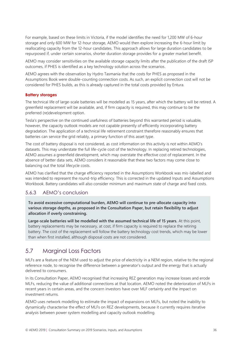For example, based on these limits in Victoria, if the model identifies the need for 1,200 MW of 6-hour storage and only 600 MW for 12-hour storage, AEMO would then explore increasing the 6-hour limit by reallocating capacity from the 12-hour candidates. This approach allows for large duration candidates to be repurposed if, under certain scenarios, shorter duration storage provides for a greater market benefit.

AEMO may consider sensitivities on the available storage capacity limits after the publication of the draft ISP outcomes, if PHES is identified as a key technology solution across the scenarios.

AEMO agrees with the observation by Hydro Tasmania that the costs for PHES as proposed in the Assumptions Book were double-counting connection costs. As such, an explicit connection cost will not be considered for PHES builds, as this is already captured in the total costs provided by Entura.

#### **Battery storages**

The technical life of large-scale batteries will be modelled as 15 years, after which the battery will be retired. A greenfield replacement will be available, and, if firm capacity is required, this may continue to be the preferred (re)development option.

Tesla's perspective on the continued usefulness of batteries beyond this warranted period is valuable, however, the capacity outlook models are not capable presently of efficiently incorporating battery degradation. The application of a technical life retirement constraint therefore reasonably ensures that batteries can service the grid reliably, a primary function of this asset type.

The cost of battery disposal is not considered, as cost information on this activity is not within AEMO's datasets. This may understate the full life-cycle cost of the technology. In replacing retired technologies, AEMO assumes a greenfield development, which may overstate the effective cost of replacement. In the absence of better data sets, AEMO considers it reasonable that these two factors may come close to balancing out the total lifecycle costs.

AEMO has clarified that the charge efficiency reported in the Assumptions Workbook was mis-labelled and was intended to represent the round-trip efficiency. This is corrected in the updated Inputs and Assumptions Workbook. Battery candidates will also consider minimum and maximum state of charge and fixed costs.

#### 5.6.3 AEMO's conclusion

**To avoid excessive computational burden, AEMO will continue to pre-allocate capacity into various storage depths, as proposed in the Consultation Paper, but retain flexibility to adjust allocation if overly constraining.** 

**Large-scale batteries will be modelled with the assumed technical life of 15 years.** At this point, battery replacements may be necessary, at cost, if firm capacity is required to replace the retiring battery. The cost of the replacement will follow the battery technology cost trends, which may be lower than when first installed, although disposal costs are not considered.

## <span id="page-35-0"></span>5.7 Marginal Loss Factors

MLFs are a feature of the NEM used to adjust the price of electricity in a NEM region, relative to the regional reference node, to recognise the difference between a generator's output and the energy that is actually delivered to consumers.

In its Consultation Paper, AEMO recognised that increasing REZ generation may increase losses and erode MLFs, reducing the value of additional connections at that location. AEMO noted the deterioration of MLFs in recent years in certain areas, and the concern investors have over MLF certainty and the impact on investment returns.

AEMO uses network modelling to estimate the impact of expansions on MLFs, but noted the inability to dynamically characterise the effect of MLFs on REZ developments, because it currently requires iterative analysis between power system modelling and capacity outlook modelling.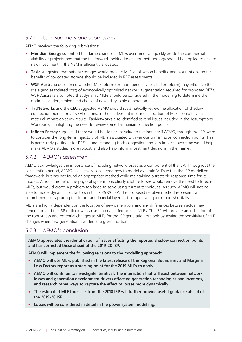### 5.7.1 Issue summary and submissions

AEMO received the following submissions:

- **Meridian Energy** submitted that large changes in MLFs over time can quickly erode the commercial viability of projects, and that the full forward-looking loss factor methodology should be applied to ensure new investment in the NEM is efficiently allocated.
- **Tesla** suggested that battery storages would provide MLF stabilisation benefits, and assumptions on the benefits of co-located storage should be included in REZ assessments.
- **WSP Australia** questioned whether MLF reform (or more generally loss factor reform) may influence the scale (and associated cost) of economically optimised network augmentation required for proposed REZs. WSP Australia also noted that dynamic MLFs should be considered in the modelling to determine the optimal location, timing, and choice of new utility-scale generation.
- **TasNetworks** and the **CEC** suggested AEMO should systematically review the allocation of shadow connection points for all NEM regions, as the inadvertent incorrect allocation of MLFs could have a material impact on study results. **TasNetworks** also identified several issues included in the Assumptions Workbook, highlighting the need to review some Tasmanian connection points
- **Infigen Energy** suggested there would be significant value to the industry if AEMO, through the ISP, were to consider the long-term trajectory of MLFs associated with various transmission connection points. This is particularly pertinent for REZs – understanding both congestion and loss impacts over time would help make AEMO's studies more robust, and also help inform investment decisions in the market.

#### 5.7.2 AEMO's assessment

AEMO acknowledges the importance of including network losses as a component of the ISP. Throughout the consultation period, AEMO has actively considered how to model dynamic MLFs within the ISP modelling framework, but has not found an appropriate method while maintaining a tractable response time for its models. A nodal model of the physical system to explicitly capture losses would remove the need to forecast MLFs, but would create a problem too large to solve using current techniques. As such, AEMO will not be able to model dynamic loss factors in this 2019-20 ISP. The proposed iterative method represents a commitment to capturing this important financial layer and compensating for model shortfalls.

MLFs are highly dependent on the location of new generation, and any differences between actual new generation and the ISP outlook will cause material differences in MLFs. The ISP will provide an indication of the robustness and potential changes to MLFs for the ISP generation outlook by testing the sensitivity of MLF changes when new generation is added at a given location.

### 5.7.3 AEMO's conclusion

**AEMO appreciates the identification of issues affecting the reported shadow connection points and has corrected these ahead of the 2019-20 ISP.** 

**AEMO will implement the following revisions to the modelling approach:**

- **AEMO will use MLFs published in the latest release of the Regional Boundaries and Marginal Loss Factors report as a starting point for the 2019 MLFs to apply.**
- **AEMO will continue to investigate iteratively the interaction that will exist between network losses and generation development drivers affecting generation technologies and locations, and research other ways to capture the effect of losses more dynamically.**
- **The estimated MLF forecasts from the 2018 ISP will further provide useful guidance ahead of the 2019-20 ISP.**
- **Losses will be considered in detail in the power system modelling.**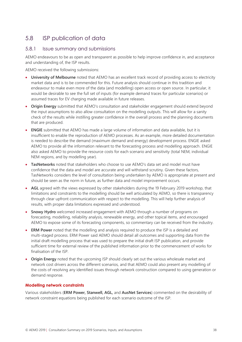## <span id="page-37-0"></span>5.8 ISP publication of data

#### 5.8.1 Issue summary and submissions

AEMO endeavours to be as open and transparent as possible to help improve confidence in, and acceptance and understanding of, the ISP results.

AEMO received the following submissions:

- **University of Melbourne** noted that AEMO has an excellent track record of providing access to electricity market data and is to be commended for this. Future analysis should continue in this tradition and endeavour to make even more of the data (and modelling) open access or open source. In particular, it would be desirable to see the full set of inputs (for example demand traces for particular scenarios) or assumed traces for EV charging made available in future releases.
- **Origin Energy** submitted that AEMO's consultation and stakeholder engagement should extend beyond the input assumptions to also allow consultation on the modelling outputs. This will allow for a sanity check of the results while instilling greater confidence in the overall process and the planning documents that are produced.
- **ENGIE** submitted that AEMO has made a large volume of information and data available, but it is insufficient to enable the reproduction of AEMO processes. As an example, more detailed documentation is needed to describe the demand (maximum demand and energy) development process. ENGIE asked AEMO to provide all the information relevant to the forecasting process and modelling approach. ENGIE also asked AEMO to provide the resource costs for each scenario and sensitivity (total NEM, individual NEM regions, and by modelling year).
- **TasNetworks** noted that stakeholders who choose to use AEMO's data set and model must have confidence that the data and model are accurate and will withstand scrutiny. Given these factors, TasNetworks considers the level of consultation being undertaken by AEMO is appropriate at present and should be seen as the norm in future, as further data and model improvement occurs.
- **AGL** agreed with the views expressed by other stakeholders during the 19 February 2019 workshop, that limitations and constraints to the modelling should be well articulated by AEMO, so there is transparency through clear upfront communication with respect to the modelling. This will help further analysis of results, with proper data limitations expressed and understood.
- **Snowy Hydro** welcomed increased engagement with AEMO through a number of programs on forecasting, modelling, reliability analysis, renewable energy, and other topical items, and encouraged AEMO to expose some of its forecasting components, so commentary can be received from the industry.
- **ERM Power** noted that the modelling and analysis required to produce the ISP is a detailed and multi-staged process. ERM Power said AEMO should detail all outcomes and supporting data from the initial draft modelling process that was used to prepare the initial draft ISP publication, and provide sufficient time for external review of the published information prior to the commencement of works for finalisation of the ISP.
- **Origin Energy** noted that the upcoming ISP should clearly set out the various wholesale market and network cost drivers across the different scenarios, and that AEMO could also present any modelling of the costs of resolving any identified issues through network construction compared to using generation or demand response.

#### **Modelling network constraints**

Various stakeholders (**ERM Power, Stanwell, AGL,** and **AusNet Services**) commented on the desirability of network constraint equations being published for each scenario outcome of the ISP.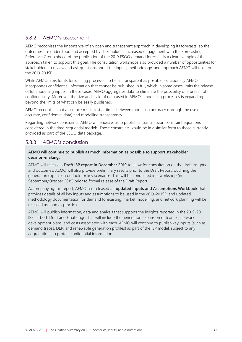### 5.8.2 AEMO's assessment

AEMO recognises the importance of an open and transparent approach in developing its forecasts, so the outcomes are understood and accepted by stakeholders. Increased engagement with the Forecasting Reference Group ahead of the publication of the 2019 ESOO demand forecasts is a clear example of the approach taken to support this goal. The consultation workshops also provided a number of opportunities for stakeholders to review and ask questions about the inputs, methodology, and approach AEMO will take for the 2019-20 ISP.

While AEMO aims for its forecasting processes to be as transparent as possible, occasionally AEMO incorporates confidential information that cannot be published in full, which in some cases limits the release of full modelling inputs. In these cases, AEMO aggregates data to eliminate the possibility of a breach of confidentiality. Moreover, the size and scale of data used in AEMO's modelling processes is expanding beyond the limits of what can be easily published.

AEMO recognises that a balance must exist at times between modelling accuracy (through the use of accurate, confidential data) and modelling transparency.

Regarding network constraints, AEMO will endeavour to publish all transmission constraint equations considered in the time-sequential models. These constraints would be in a similar form to those currently provided as part of the ESOO data package.

### 5.8.3 AEMO's conclusion

#### **AEMO will continue to publish as much information as possible to support stakeholder decision-making.**

AEMO will release a **Draft ISP report in December 2019** to allow for consultation on the draft insights and outcomes. AEMO will also provide preliminary results prior to the Draft Report, outlining the generation expansion outlook for key scenarios. This will be conducted in a workshop (in September/October 2019) prior to formal release of the Draft Report.

Accompanying this report, AEMO has released an **updated Inputs and Assumptions Workbook** that provides details of all key inputs and assumptions to be used in the 2019-20 ISP, and updated methodology documentation for demand forecasting, market modelling, and network planning will be released as soon as practical.

AEMO will publish information, data and analysis that supports the insights reported in the 2019-20 ISP, at both Draft and Final stage. This will include the generation expansion outcomes, network development plans, and costs associated with each. AEMO will continue to publish key inputs (such as demand traces, DER, and renewable generation profiles) as part of the ISP model, subject to any aggregations to protect confidential information.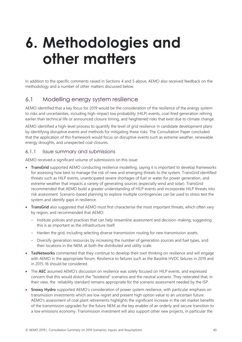## <span id="page-39-0"></span>**6. Methodologies and other matters**

In addition to the specific comments raised in Sections [4](#page-11-0) and [5](#page-19-0) above, AEMO also received feedback on the methodology and a number of other matters discussed below.

## <span id="page-39-1"></span>6.1 Modelling energy system resilience

AEMO identified that a key focus for 2019 would be the consideration of the resilience of the energy system to risks and uncertainties, including high-impact low probability (HILP) events, coal-fired generation retiring earlier than technical life or announced closure timing, and heightened risks that exist due to climate change.

AEMO identified a high-level process to quantify the level of grid resilience in candidate development plans by identifying disruptive events and methods for mitigating these risks. The Consultation Paper concluded that the application of this framework would focus on disruptive events such as extreme weather, renewable energy droughts, and unexpected coal closures.

#### 6.1.1 Issue summary and submissions

AEMO received a significant volume of submissions on this issue:

- **TransGrid** supported AEMO conducting resilience modelling, saying it is important to develop frameworks for assessing how best to manage the risk of new and emerging threats to the system. TransGrid identified threats such as HILP events, unanticipated severe shortages of fuel or water for power generation, and extreme weather that impacts a variety of generating sources (especially wind and solar). TransGrid recommended that AEMO build a greater understanding of HILP events and incorporate HILP threats into risk assessment. Scenario-based planning to explore multiple contingencies can be used to stress test the system and identify gaps in resilience.
- **TransGrid** also suggested that AEMO must first characterise the most important threats, which often vary by region, and recommended that AEMO:
	- Institute policies and practices that can help streamline assessment and decision-making, suggesting this is as important as the infrastructure itself.
	- Harden the grid, including selecting diverse transmission routing for new transmission assets.
	- Diversify generation resources by increasing the number of generation sources and fuel types, and their locations in the NEM, at both the distributed and utility scale.
- **TasNetworks** commented that they continue to develop their own thinking on resilience and will engage with AEMO in the appropriate forum. Resilience to failures such as the Basslink HVDC failures in 2019 and in 2015-16 should be considered.
- The **AEC** assumed AEMO's discussion on resilience was solely focused on HILP events, and expressed concern that this would distort the "bookend" scenarios and the neutral scenario. They reiterated that, in their view, the reliability standard remains appropriate for the scenario assessment needed by the ISP.
- **Snowy Hydro** supported AEMO's consideration of power system resilience, with particular emphasis on transmission investments which are low regret and present high option value to an uncertain future. AEMO's assessment of coal plant retirements highlights the significant increase in the net market benefits of the transmission upgrades for the future NEM as the key enabler of an orderly and secure transition to a low emissions economy. Transmission investment will also support other new projects, in particular the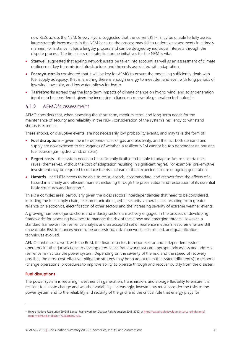new REZs across the NEM. Snowy Hydro suggested that the current RIT-T may be unable to fully assess large strategic investments in the NEM because the process may fail to undertake assessments in a timely manner. For instance, it has a lengthy process and can be delayed by individual interests through the dispute process. The timeliness of strategic storage initiatives for the NEM is vital.

- **Stanwell** suggested that ageing network assets be taken into account, as well as an assessment of climate resilience of key transmission infrastructure, and the costs associated with adaptation.
- **EnergyAustralia** considered that it will be key for AEMO to ensure the modelling sufficiently deals with fuel supply adequacy, that is, ensuring there is enough energy to meet demand even with long periods of low wind, low solar, and low water inflows for hydro.
- **TasNetworks** agreed that the long-term impacts of climate change on hydro, wind, and solar generation input data be considered, given the increasing reliance on renewable generation technologies.

#### 6.1.2 AEMO's assessment

AEMO considers that, when assessing the short-term, medium-term, and long-term needs for the maintenance of security and reliability in the NEM, consideration of the system's resiliency to withstand shocks is essential.

These shocks, or disruptive events, are not necessarily low probability events, and may take the form of:

- **Fuel disruptions** given the interdependencies of gas and electricity, and the fact both demand and supply are now exposed to the vagaries of weather, a resilient NEM cannot be too dependent on any one fuel source (gas, hydro, wind, or solar).
- **Regret costs** the system needs to be sufficiently flexible to be able to adapt as future uncertainties reveal themselves, without the cost of adaptation resulting in significant regret. For example, pre-emptive investment may be required to reduce the risks of earlier than expected closure of ageing generation.
- **Hazards** the NEM needs to be able to resist, absorb, accommodate, and recover from the effects of a hazard in a timely and efficient manner, including through the preservation and restoration of its essential basic structures and function<sup>32</sup>.

This is a complex area, particularly given the cross sectoral interdependencies that need to be considered, including the fuel supply chain, telecommunications, cyber security vulnerabilities resulting from greater reliance on electronics, electrification of other sectors and the increasing severity of extreme weather events.

A growing number of jurisdictions and industry sectors are actively engaged in the process of developing frameworks for assessing how best to manage the risk of these new and emerging threats. However, a standard framework for resilience analysis and an accepted set of resilience metrics/measurements are still unavailable. Risk tolerances need to be understood, risk frameworks established, and quantification techniques evolved.

AEMO continues to work with the BoM, the finance sector, transport sector and independent system operators in other jurisdictions to develop a resilience framework that can appropriately assess and address resilience risk across the power system. Depending on the severity of the risk, and the speed of recovery possible, the most cost-effective mitigation strategy may be to adapt (plan the system differently) or respond (change operational procedures to improve ability to operate through and recover quickly from the disaster.)

#### **Fuel disruptions**

The power system is requiring investment in generation, transmission, and storage flexibility to ensure it is resilient to climate change and weather variability. Increasingly, investments must consider the risks to the power system and to the reliability and security of the grid, and the critical role that energy plays for

<sup>&</sup>lt;sup>32</sup> United Nations Resolution 69/283 Sendai Framework for Disaster Risk Reduction 2015-2030, a[t https://sustainabledevelopment.un.org/index.php?](https://sustainabledevelopment.un.org/index.php?page=view&type=111&nr=7738&menu=35) [page=view&type=111&nr=7738&menu=35.](https://sustainabledevelopment.un.org/index.php?page=view&type=111&nr=7738&menu=35)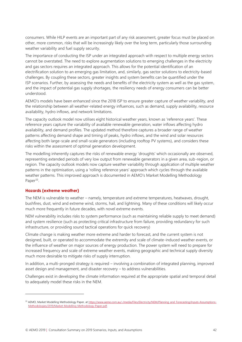consumers. While HILP events are an important part of any risk assessment, greater focus must be placed on other, more common, risks that will be increasingly likely over the long term, particularly those surrounding weather variability and fuel supply security.

The importance of conducting the ISP under an integrated approach with respect to multiple energy sectors cannot be overstated. The need to explore augmentation solutions to emerging challenges in the electricity and gas sectors requires an integrated approach. This allows for the potential identification of an electrification solution to an emerging gas limitation, and, similarly, gas sector solutions to electricity-based challenges. By coupling these sectors, greater insights and system benefits can be quantified under the ISP scenarios. Further, by assessing the needs and benefits of the electricity system as well as the gas system, and the impact of potential gas supply shortages, the resiliency needs of energy consumers can be better understood.

AEMO's models have been enhanced since the 2018 ISP to ensure greater capture of weather variability, and the relationship between all weather-related energy influences, such as demand, supply availability, resource availability, hydro inflows, and network limitations.

The capacity outlook model now utilises eight historical weather years, known as 'reference years'. These reference years capture the variability of available renewable generation, water inflows affecting hydro availability, and demand profiles. The updated method therefore captures a broader range of weather patterns affecting demand shape and timing of peaks, hydro inflows, and the wind and solar resources affecting both large-scale and small-scale generators (including rooftop PV systems), and considers these risks within the assessment of optimal generation development.

The modelling inherently captures the risks of renewable energy 'droughts' which occasionally are observed, representing extended periods of very low output from renewable generators in a given area, sub-region, or region. The capacity outlook models now capture weather variability through application of multiple weather patterns in the optimisation, using a 'rolling reference years' approach which cycles through the available weather patterns. This improved approach is documented in AEMO's Market Modelling Methodology Paper<sup>33</sup>.

#### **Hazards (extreme weather)**

The NEM is vulnerable to weather – namely, temperature and extreme temperatures, heatwaves, drought, bushfires, dust, wind and extreme wind, storms, hail, and lightning. Many of these conditions will likely occur much more frequently in future decades, with novel extreme events.

NEM vulnerability includes risks to system performance (such as maintaining reliable supply to meet demand) and system resilience (such as protecting critical infrastructure from failure, providing redundancy for such infrastructure, or providing sound tactical operations for quick recovery)

Climate change is making weather more extreme and harder to forecast, and the current system is not designed, built, or operated to accommodate the extremity and scale of climate-induced weather events, or the influence of weather on major sources of energy production. The power system will need to prepare for increased frequency and scale of extreme weather events, making geographic and technical supply diversity much more desirable to mitigate risks of supply interruption.

In addition, a multi-pronged strategy is required – involving a combination of integrated planning, improved asset design and management, and disaster recovery – to address vulnerabilities.

Challenges exist in developing the climate information required at the appropriate spatial and temporal detail to adequately model these risks in the NEM.

<sup>33</sup> AEMO, Market Modelling Methodology Paper, at [https://www.aemo.com.au/-/media/Files/Electricity/NEM/Planning\\_and\\_Forecasting/Inputs-Assumptions-](https://www.aemo.com.au/-/media/Files/Electricity/NEM/Planning_and_Forecasting/Inputs-Assumptions-Methodologies/2019/Market-Modelling-Methodology-Paper.pdf)[Methodologies/2019/Market-Modelling-Methodology-Paper.pdf.](https://www.aemo.com.au/-/media/Files/Electricity/NEM/Planning_and_Forecasting/Inputs-Assumptions-Methodologies/2019/Market-Modelling-Methodology-Paper.pdf)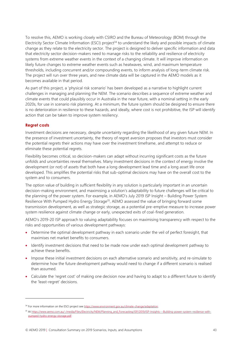To resolve this, AEMO is working closely with CSIRO and the Bureau of Meteorology (BOM) through the Electricity Sector Climate Information (ESCI) project<sup>34</sup> to understand the likely and possible impacts of climate change as they relate to the electricity sector. The project is designed to deliver specific information and data that electricity sector decision-makers need to manage risks to the reliability and resilience of electricity systems from extreme weather events in the context of a changing climate. It will improve information on likely future changes to extreme weather events such as heatwaves, wind, and maximum temperature thresholds, including concurrent and/or compounding events, to inform analysis of long-term climate risk. The project will run over three years, and new climate data will be captured in the AEMO models as it becomes available in that period.

As part of this project, a 'physical risk scenario' has been developed as a narrative to highlight current challenges in managing and planning the NEM. The scenario describes a sequence of extreme weather and climate events that could plausibly occur in Australia in the near future, with a nominal setting in the early 2020s, for use in scenario risk planning. At a minimum, the future system should be designed to ensure there is no deterioration in resilience to these hazards, and ideally, where cost is not prohibitive, the ISP will identify action that can be taken to improve system resiliency.

#### **Regret costs**

Investment decisions are necessary, despite uncertainty regarding the likelihood of any given future NEM. In the presence of investment uncertainty, the theory of regret aversion proposes that investors must consider the potential regrets their actions may have over the investment timeframe, and attempt to reduce or eliminate these potential regrets.

Flexibility becomes critical, so decision-makers can adapt without incurring significant costs as the future unfolds and uncertainties reveal themselves. Many investment decisions in the context of energy involve the development (or not) of assets that both have a long development lead time and a long asset life once developed. This amplifies the potential risks that sub-optimal decisions may have on the overall cost to the system and to consumers.

The option value of building in sufficient flexibility in any solution is particularly important in an uncertain decision-making environment, and maximising a solution's adaptability to future challenges will be critical to the planning of the power system. For example, in AEMO's July 2019 ISP Insight – Building Power System Resilience With Pumped Hydro Energy Storage<sup>35</sup>, AEMO assessed the value of bringing forward some transmission development, as well as strategic storage, as a potential pre-emptive measure to increase power system resilience against climate change or early, unexpected exits of coal-fired generation.

AEMO's 2019-20 ISP approach to valuing adaptability focuses on maximising transparency with respect to the risks and opportunities of various development pathways:

- Determine the optimal development pathway in each scenario under the veil of perfect foresight, that maximises net market benefits to consumers.
- Identify investment decisions that need to be made now under each optimal development pathway to achieve these benefits.
- Impose these initial investment decisions on each alternative scenario and sensitivity, and re-simulate to determine how the future development pathway would need to change if a different scenario is realised than assumed.
- Calculate the 'regret cost' of making one decision now and having to adapt to a different future to identify the 'least-regret' decisions.

<sup>&</sup>lt;sup>34</sup> For more information on the ESCI project see https://www.environment.gov.au/climate-change/adaptation.

<sup>&</sup>lt;sup>35</sup> A[t https://www.aemo.com.au/-/media/Files/Electricity/NEM/Planning\\_and\\_Forecasting/ISP/2019/ISP-Insights---Building-power-system-resilience-with](https://www.aemo.com.au/-/media/Files/Electricity/NEM/Planning_and_Forecasting/ISP/2019/ISP-Insights---Building-power-system-resilience-with-pumped-hydro-energy-storage.pdf)[pumped-hydro-energy-storage.pdf](https://www.aemo.com.au/-/media/Files/Electricity/NEM/Planning_and_Forecasting/ISP/2019/ISP-Insights---Building-power-system-resilience-with-pumped-hydro-energy-storage.pdf)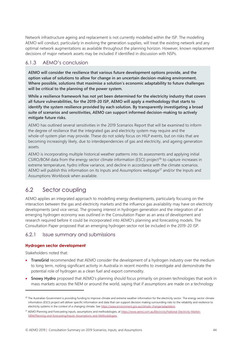Network infrastructure ageing and replacement is not currently modelled within the ISP. The modelling AEMO will conduct, particularly in evolving the generation supplies, will treat the existing network and any optimal network augmentations as available throughout the planning horizon. However, known replacement decisions of major network assets may be included if identified in discussion with NSPs.

### 6.1.3 AEMO's conclusion

**AEMO will consider the resilience that various future development options provide, and the option value of solutions to allow for change in an uncertain decision-making environment. Where possible, solutions that maximise a solution's economic adaptability to future challenges will be critical to the planning of the power system.** 

**While a resilience framework has not yet been determined for the electricity industry that covers all future vulnerabilities, for the 2019-20 ISP, AEMO will apply a methodology that starts to identify the system resilience provided by each solution. By transparently investigating a broad suite of scenarios and sensitivities, AEMO can support informed decision-making to actively mitigate future risks.**

AEMO has outlined several sensitivities in the 2019 Scenarios Report that will be examined to inform the degree of resilience that the integrated gas and electricity system may require and the whole-of-system plan may provide. These do not solely focus on HILP events, but on risks that are becoming increasingly likely, due to interdependencies of gas and electricity, and ageing generation assets.

AEMO is incorporating multiple historical weather patterns into its assessments and applying initial CSIRO/BOM data from the energy sector climate information (ESCI) project<sup>36</sup> to capture increases in extreme temperature, hydro inflow variance, and decline in accordance with the climate scenarios. AEMO will publish this information on its Inputs and Assumptions webpage<sup>37</sup> and/or the Inputs and Assumptions Workbook when available.

## <span id="page-43-0"></span>6.2 Sector coupling

AEMO applies an integrated approach to modelling energy developments, particularly focusing on the interaction between the gas and electricity markets and the influence gas availability may have on electricity developments (and vice versa). The growing interest in hydrogen generation and the integration of an emerging hydrogen economy was outlined in the Consultation Paper as an area of development and research required before it could be incorporated into AEMO's planning and forecasting models. The Consultation Paper proposed that an emerging hydrogen sector not be included in the 2019-20 ISP.

#### 6.2.1 Issue summary and submissions

#### **Hydrogen sector development**

Stakeholders noted that:

- **TransGrid** recommended that AEMO consider the development of a hydrogen industry over the medium to long term, noting significant activity in Australia in recent months to investigate and demonstrate the potential role of hydrogen as a clean fuel and export commodity.
- **Snowy Hydro** proposed that AEMO's planning should focus primarily on proven technologies that work in mass markets across the NEM or around the world, saying that if assumptions are made on a technology

<sup>&</sup>lt;sup>36</sup> The Australian Government is providing funding to improve climate and extreme weather information for the electricity sector. The energy sector climate information (ESCI) project will deliver specific information and data that can support decision making surrounding risks to the reliability and resilience to electricity systems in the context of a changing climate. See<https://www.environment.gov.au/climate-change/adaptation>*.*

<sup>37</sup> AEMO Planning and Forecasting inputs, assumptions and methodologies, a[t https://www.aemo.com.au/Electricity/National-Electricity-Market-](https://www.aemo.com.au/Electricity/National-Electricity-Market-NEM/Planning-and-forecasting/Inputs-Assumptions-and-Methodologies)[NEM/Planning-and-forecasting/Inputs-Assumptions-and-Methodologies.](https://www.aemo.com.au/Electricity/National-Electricity-Market-NEM/Planning-and-forecasting/Inputs-Assumptions-and-Methodologies)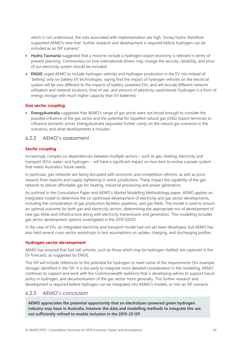which is not understood, the risks associated with implementation are high. Snowy Hydro therefore supported AEMO's view that "further research and development is required before hydrogen can be included as an ISP scenario".

- **Hydro Tasmania** suggested that a move to include a hydrogen-export economy is relevant in terms of present planning. Commentary on how international drivers may change the security, reliability, and price of our electricity system should be included.
- **ENGIE** urged AEMO to include hydrogen vehicles and hydrogen production in the EV mix instead of 'betting' only on battery EV technologies, saying that the impact of hydrogen vehicles on the electrical system will be very different to the impacts of battery-powered EVs, and will include different network utilisation and network locations, time of use, and amount of electricity used/stored (hydrogen is a form of energy storage with much higher capacity than EV batteries).

#### **Gas sector coupling**

• **EnergyAustralia** suggested that AEMO's range of gas prices were not broad enough to consider the possible influence of the gas sector and the potential for liquefied natural gas (LNG) import terminals to influence domestic prices. EnergyAustralia requested further clarity on the natural gas scenarios in the scenarios, and what developments it includes.

#### 6.2.2 AEMO's assessment

#### **Sector coupling**

Increasingly complex co-dependencies between multiple sectors – such as gas, heating, electricity and transport (EVs), water, and hydrogen – will have a significant impact on how best to evolve a power system that meets Australia's future needs.

In particular, gas networks are being disrupted with economic and competition reforms, as well as price impacts from exports and supply tightening in some jurisdictions. These impact the capability of the gas network to deliver affordable gas for heating, industrial processing and power generation.

As outlined in the Consultation Paper and AEMO's Market Modelling Methodology paper, AEMO applies an integrated model to determine the co-optimised development of electricity and gas sector developments, including the consideration of gas production facilities, pipelines, and gas fields. This model is used to ensure an optimal outcome for both gas and electricity sectors, determining the appropriate mix of development of new gas fields and infrastructure along with electricity transmission and generation. This modelling includes gas sector development options investigated in the 2019 GSOO.

In the case of EVs, an integrated electricity and transport model had not yet been developed, but AEMO has also held several cross-sector workshops to test assumptions on uptake, charging, and discharging profiles.

#### **Hydrogen sector development**

AEMO has ensured that fuel cell vehicles, such as those which may be hydrogen-fuelled, are captured in the EV forecasts, as suggested by ENGIE.

This ISP will include references to the potential for hydrogen to meet some of the requirements (for example, storage) identified in the ISP. It is too early to integrate more detailed consideration in the modelling. AEMO continues to support and work with the Commonwealth taskforce that is developing advice to support future policy in hydrogen, and decarbonisation of the gas sector more generally. This further research and development is required before hydrogen can be integrated into AEMO's models, or into an ISP scenario.

#### 6.2.3 AEMO's conclusion

**AEMO appreciates the potential opportunity that an electrolyser-powered green hydrogen industry may have in Australia, however the data and modelling methods to integrate this are not sufficiently refined to enable inclusion in the 2019-20 ISP.**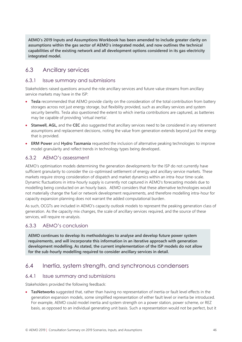**AEMO's 2019 Inputs and Assumptions Workbook has been amended to include greater clarity on assumptions within the gas sector of AEMO's integrated model, and now outlines the technical capabilities of the existing network and all development options considered in its gas-electricity integrated model.**

## <span id="page-45-0"></span>6.3 Ancillary services

#### 6.3.1 Issue summary and submissions

Stakeholders raised questions around the role ancillary services and future value streams from ancillary service markets may have in the ISP:

- **Tesla** recommended that AEMO provide clarity on the consideration of the total contribution from battery storages across not just energy storage, but flexibility provided, such as ancillary services and system security benefits. Tesla also questioned the extent to which inertia contributions are captured, as batteries may be capable of providing 'virtual inertia'.
- **Stanwell, AGL,** and the **CEC** also suggested that ancillary services need to be considered in any retirement assumptions and replacement decisions, noting the value from generation extends beyond just the energy that is provided.
- **ERM Power** and **Hydro Tasmania** requested the inclusion of alternative peaking technologies to improve model granularity and reflect trends in technology types being developed**.**

## 6.3.2 AEMO's assessment

AEMO's optimisation models determining the generation developments for the ISP do not currently have sufficient granularity to consider the co-optimised settlement of energy and ancillary service markets. These markets require strong consideration of dispatch and market dynamics within an intra-hour time-scale. Dynamic fluctuations in intra-hourly supply is currently not captured in AEMO's forecasting models due to modelling being conducted on an hourly basis. AEMO considers that these alternative technologies would not materially change the fuel or network development requirements, and therefore modelling intra-hour for capacity expansion planning does not warrant the added computational burden.

As such, OCGTs are included in AEMO's capacity outlook models to represent the peaking generation class of generation. As the capacity mix changes, the scale of ancillary services required, and the source of these services, will require re-analysis.

#### 6.3.3 AEMO's conclusion

**AEMO continues to develop its methodologies to analyse and develop future power system requirements, and will incorporate this information in an iterative approach with generation development modelling. As stated, the current implementation of the ISP models do not allow for the sub-hourly modelling required to consider ancillary services in detail.**

## <span id="page-45-1"></span>6.4 Inertia, system strength, and synchronous condensers

#### 6.4.1 Issue summary and submissions

Stakeholders provided the following feedback:

• **TasNetworks** suggested that, rather than having no representation of inertia or fault level effects in the generation expansion models, some simplified representation of either fault level or inertia be introduced. For example, AEMO could model inertia and system strength on a power station, power scheme, or REZ basis, as opposed to an individual generating unit basis. Such a representation would not be perfect, but it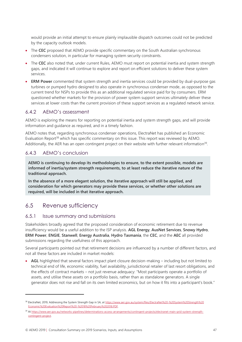would provide an initial attempt to ensure plainly implausible dispatch outcomes could not be predicted by the capacity outlook models.

- The CEC proposed that AEMO provide specific commentary on the South Australian synchronous condensers solution, in particular for managing system security constraints.
- The **CEC** also noted that, under current Rules, AEMO must report on potential inertia and system strength gaps, and indicated it will continue to explore and report on efficient solutions to deliver these system services.
- **ERM Power** commented that system strength and inertia services could be provided by dual-purpose gas turbines or pumped hydro designed to also operate in synchronous condenser mode, as opposed to the current trend for NSPs to provide this as an additional regulated service paid for by consumers. ERM questioned whether markets for the provision of power system support services ultimately deliver these services at lower costs than the current provision of these support services as a regulated network service.

#### 6.4.2 AEMO's assessment

AEMO is exploring the means for reporting on potential inertia and system strength gaps, and will provide information and guidance as required, and in a timely fashion.

AEMO notes that, regarding synchronous condenser operations, ElectraNet has published an Economic Evaluation Report<sup>38</sup> which has specific commentary on this issue. This report was reviewed by AEMO. Additionally, the AER has an open contingent project on their website with further relevant information<sup>39</sup>.

#### 6.4.3 AEMO's conclusion

**AEMO is continuing to develop its methodologies to ensure, to the extent possible, models are informed of inertia/system strength requirements, to at least reduce the iterative nature of the traditional approach.** 

**In the absence of a more elegant solution, the iterative approach will still be applied, and consideration for which generators may provide these services, or whether other solutions are required, will be included in that iterative approach.** 

## <span id="page-46-0"></span>6.5 Revenue sufficiency

#### 6.5.1 Issue summary and submissions

Stakeholders broadly agreed that the proposed consideration of economic retirement due to revenue insufficiency would be a useful addition to the ISP analysis. **AGL Energy**, **AusNet Services**, **Snowy Hydro**, **ERM Power**, **ENGIE**, **Stanwell**, **Energy Australia**, **Hydro Tasmania**, the **CEC**, and the **AEC** all provided submissions regarding the usefulness of this approach.

Several participants pointed out that retirement decisions are influenced by a number of different factors, and not all these factors are included in market models:

• **AGL** highlighted that several factors impact plant closure decision-making – including but not limited to technical end of life, economic viability, fuel availability, jurisdictional retailer of last resort obligations, and the effects of contract markets – not just revenue adequacy: "Most participants operate a portfolio of assets, and utilise these assets on a portfolio basis, rather than as standalone generators. A single generator does not rise and fall on its own limited economics, but on how it fits into a participant's book."

<sup>&</sup>lt;sup>38</sup> ElectraNet, 2019, Addressing the System Strength Gap in SA, a[t https://www.aer.gov.au/system/files/ElectraNet%20-%20System%20Strength%20](https://www.aer.gov.au/system/files/ElectraNet%20-%20System%20Strength%20Economic%20Evaluation%20Report%20-%2018%20February%202018.PDF) [Economic%20Evaluation%20Report%20-%2018%20February%202018.PDF](https://www.aer.gov.au/system/files/ElectraNet%20-%20System%20Strength%20Economic%20Evaluation%20Report%20-%2018%20February%202018.PDF)*.*

<sup>39</sup> A[t https://www.aer.gov.au/networks-pipelines/determinations-access-arrangements/contingent-projects/electranet-main-grid-system-strength](https://www.aer.gov.au/networks-pipelines/determinations-access-arrangements/contingent-projects/electranet-main-grid-system-strength-contingent-project)[contingent-project](https://www.aer.gov.au/networks-pipelines/determinations-access-arrangements/contingent-projects/electranet-main-grid-system-strength-contingent-project)*.*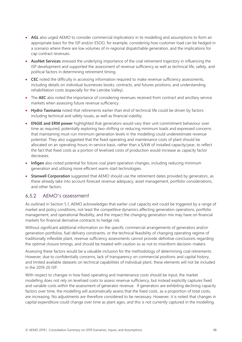- **AGL** also urged AEMO to consider commercial implications in its modelling and assumptions to form an appropriate basis for the ISP and/or ESOO, for example, considering how customer load can be hedged in a scenario where there are low volumes of in-regional dispatchable generation, and the implications for cap contract revenues.
- **AusNet Services** stressed the underlying importance of the coal retirement trajectory in influencing the ISP development and supported the assessment of revenue sufficiency as well as technical life, safety, and political factors in determining retirement timing.
- **CEC** noted the difficulty in accessing information required to make revenue sufficiency assessments, including details on individual businesses books, contracts, and futures positions, and understanding rehabilitation costs (especially for the Latrobe Valley).
- The AEC also noted the importance of considering revenues received from contract and ancillary service markets when assessing future revenue sufficiency.
- **Hydro Tasmania** noted that retirements earlier than end of technical life could be driven by factors including technical and safety issues, as well as financial viability.
- **ENGIE and ERM power** highlighted that generators would vary their unit commitment behaviour over time as required, potentially exploring two-shifting or reducing minimum loads and expressed concerns that maintaining must-run minimum generation levels in the modelling could underestimate revenue potential. They also suggested that the fixed operating and maintenance costs of plant should be allocated on an operating-hours-in-service basis, rather than a \$/kW of installed capacity/year, to reflect the fact that fixed costs as a portion of levelised costs of production would increase as capacity factor decreases.
- **Infigen** also noted potential for future coal plant operation changes, including reducing minimum generation and utilising more efficient warm-start technologies.
- **Stanwell Corporation** suggested that AEMO should use the retirement dates provided by generators, as these already take into account forecast revenue adequacy, asset management, portfolio considerations, and other factors.

#### 6.5.2 AEMO's assessment

As outlined in Section [5.1,](#page-19-1) AEMO acknowledges that earlier coal capacity exit could be triggered by a range of market and policy conditions, not least the competitive dynamics affecting generation operations, portfolio management, and operational flexibility, and the impact the changing generation mix may have on financial markets for financial derivative contracts to hedge risk.

Without significant additional information on the specific commercial arrangements of generators and/or generation portfolios, fuel delivery constraints, or the technical feasibility of changing operating regime of traditionally inflexible plant, revenue sufficiency assessments cannot provide definitive conclusions regarding the optimal closure timings, and should be treated with caution so as not to misinform decision-makers.

Assessing these factors would be a valuable inclusion for the methodology of determining coal retirements. However, due to confidentially concerns, lack of transparency on commercial positions and capital history, and limited available datasets on technical capabilities of individual plant, these elements will not be included in the 2019-20 ISP.

With respect to changes in how fixed operating and maintenance costs should be input, the market modelling does not rely on levelised costs to assess revenue sufficiency, but instead explicitly captures fixed and variable costs within the assessment of generator revenue. If generators are exhibiting declining capacity factors over time, the modelling will automatically assess that the fixed costs, as a proportion of total costs, are increasing. No adjustments are therefore considered to be necessary. However, it is noted that changes in capital expenditure could change over time as plant ages, and this is not currently captured in the modelling.